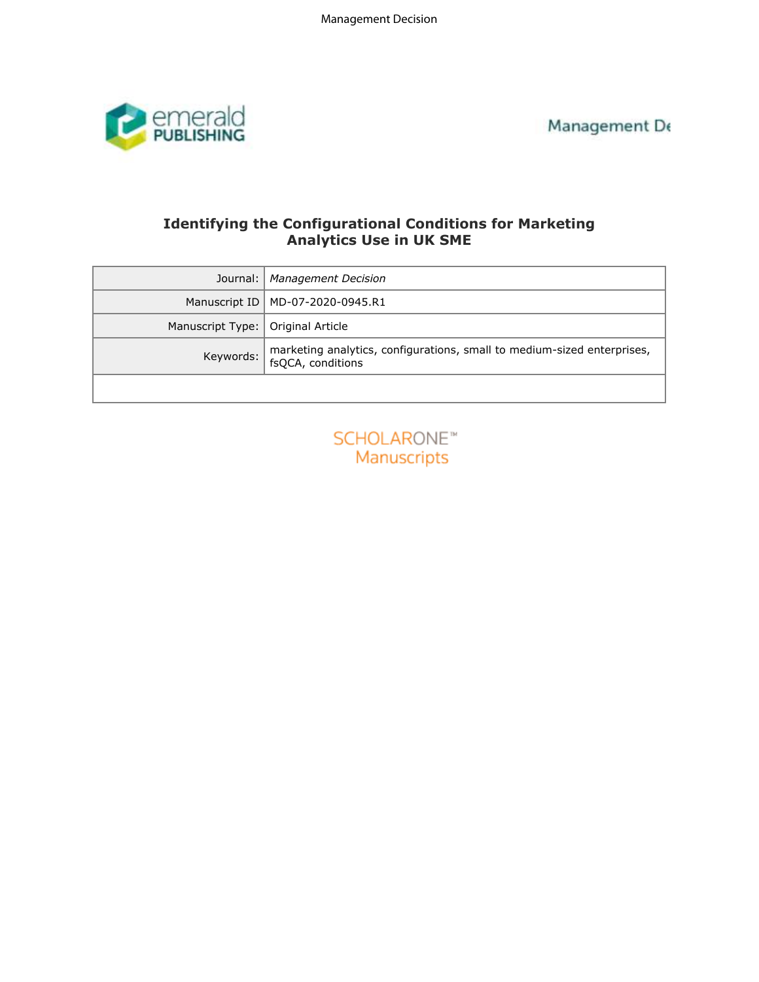Management De



# **Identifying the Configurational Conditions for Marketing Analytics Use in UK SME**

| Journal:         | <b>Management Decision</b>                                                                   |  |  |  |  |
|------------------|----------------------------------------------------------------------------------------------|--|--|--|--|
| Manuscript ID    | MD-07-2020-0945.R1                                                                           |  |  |  |  |
| Manuscript Type: | Original Article                                                                             |  |  |  |  |
| Keywords:        | marketing analytics, configurations, small to medium-sized enterprises,<br>fsQCA, conditions |  |  |  |  |
|                  |                                                                                              |  |  |  |  |
|                  |                                                                                              |  |  |  |  |
|                  | <b>SCHOLARONE™</b>                                                                           |  |  |  |  |
| Manuscripts      |                                                                                              |  |  |  |  |
|                  |                                                                                              |  |  |  |  |
|                  |                                                                                              |  |  |  |  |
|                  |                                                                                              |  |  |  |  |
|                  |                                                                                              |  |  |  |  |
|                  |                                                                                              |  |  |  |  |
|                  |                                                                                              |  |  |  |  |
|                  |                                                                                              |  |  |  |  |
|                  |                                                                                              |  |  |  |  |
|                  |                                                                                              |  |  |  |  |
|                  |                                                                                              |  |  |  |  |
|                  |                                                                                              |  |  |  |  |

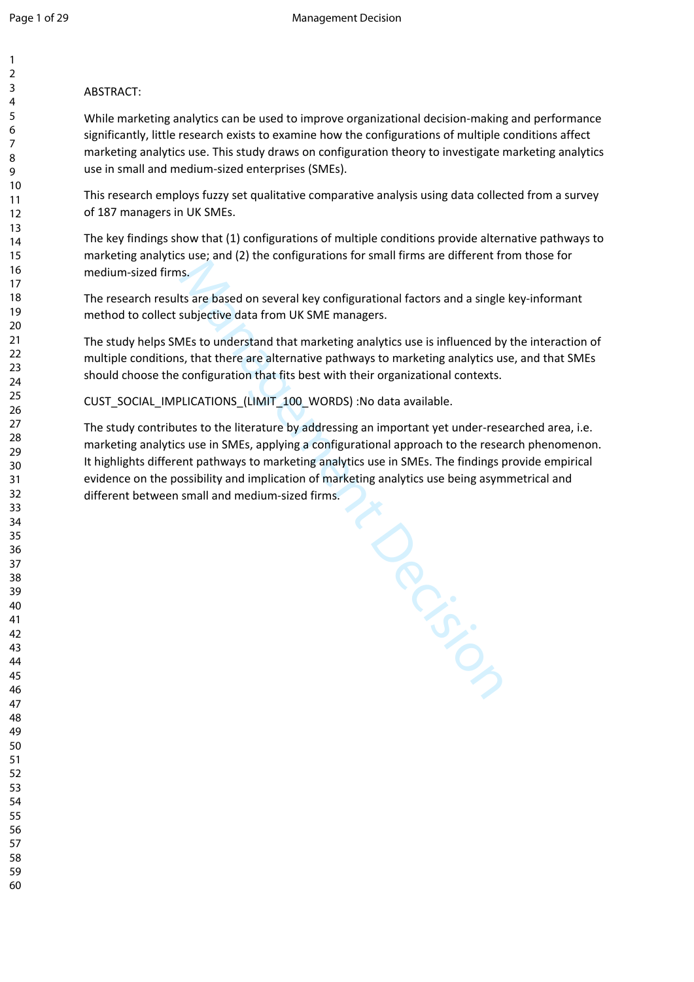# ABSTRACT:

While marketing analytics can be used to improve organizational decision-making and performance significantly, little research exists to examine how the configurations of multiple conditions affect marketing analytics use. This study draws on configuration theory to investigate marketing analytics use in small and medium-sized enterprises (SMEs).

This research employs fuzzy set qualitative comparative analysis using data collected from a survey of 187 managers in UK SMEs.

The key findings show that (1) configurations of multiple conditions provide alternative pathways to marketing analytics use; and (2) the configurations for small firms are different from those for medium-sized firms.

The research results are based on several key configurational factors and a single key-informant method to collect subjective data from UK SME managers.

The study helps SMEs to understand that marketing analytics use is influenced by the interaction of multiple conditions, that there are alternative pathways to marketing analytics use, and that SMEs should choose the configuration that fits best with their organizational contexts.

CUST\_SOCIAL\_IMPLICATIONS\_(LIMIT\_100\_WORDS) :No data available.

The study contributes to the literature by addressing an important yet under-researched area, i.e. marketing analytics use in SMEs, applying a configurational approach to the research phenomenon. It highlights different pathways to marketing analytics use in SMEs. The findings provide empirical evidence on the possibility and implication of marketing analytics use being asymmetrical and different between small and medium-sized firms.

Tonics.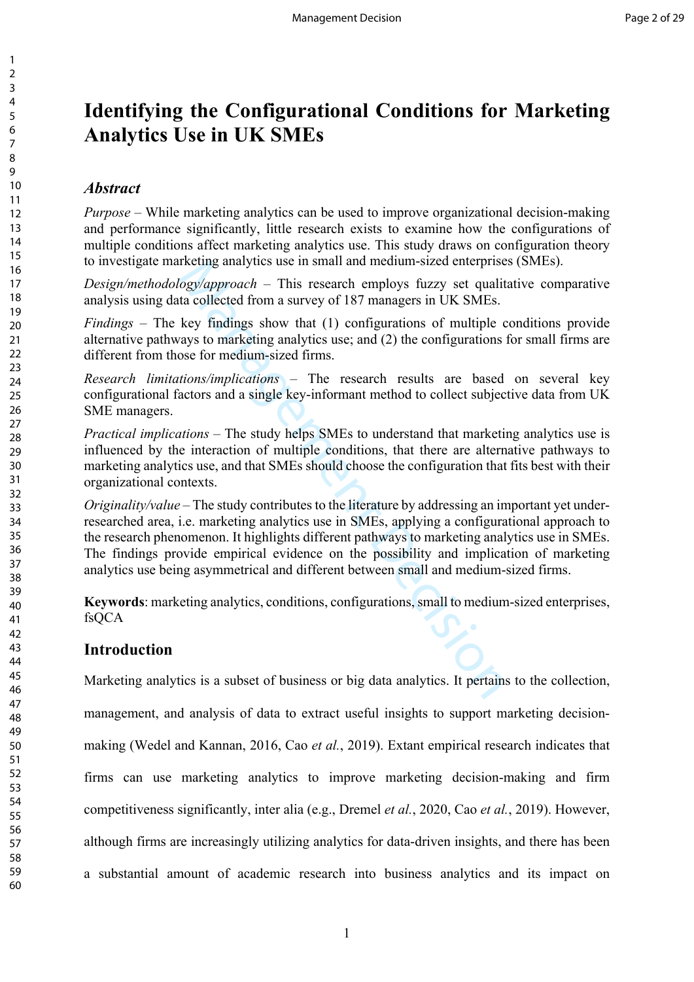# **Identifying the Configurational Conditions for Marketing Analytics Use in UK SMEs**

# *Abstract*

*Purpose* – While marketing analytics can be used to improve organizational decision-making and performance significantly, little research exists to examine how the configurations of multiple conditions affect marketing analytics use. This study draws on configuration theory to investigate marketing analytics use in small and medium-sized enterprises (SMEs).

*Design/methodology/approach* – This research employs fuzzy set qualitative comparative analysis using data collected from a survey of 187 managers in UK SMEs.

*Findings* – The key findings show that (1) configurations of multiple conditions provide alternative pathways to marketing analytics use; and (2) the configurations for small firms are different from those for medium-sized firms.

*Research limitations/implications* – The research results are based on several key configurational factors and a single key-informant method to collect subjective data from UK SME managers.

*Practical implications* – The study helps SMEs to understand that marketing analytics use is influenced by the interaction of multiple conditions, that there are alternative pathways to marketing analytics use, and that SMEs should choose the configuration that fits best with their organizational contexts.

rketing analytics use in small and medium-sized enterprise<br>ogy/approach – This research employs fuzzy set quality<br>ta collected from a survey of 187 managers in UK SMEs.<br>key findings show that (1) configurations of multiple *Originality/value* – The study contributes to the literature by addressing an important yet underresearched area, i.e. marketing analytics use in SMEs, applying a configurational approach to the research phenomenon. It highlights different pathways to marketing analytics use in SMEs. The findings provide empirical evidence on the possibility and implication of marketing analytics use being asymmetrical and different between small and medium-sized firms.

**Keywords**: marketing analytics, conditions, configurations, small to medium-sized enterprises, fsQCA

# **Introduction**

Marketing analytics is a subset of business or big data analytics. It pertains to the collection, management, and analysis of data to extract useful insights to support marketing decisionmaking (Wedel and Kannan, 2016, Cao *et al.*, 2019). Extant empirical research indicates that firms can use marketing analytics to improve marketing decision-making and firm competitiveness significantly, inter alia (e.g., Dremel *et al.*, 2020, Cao *et al.*, 2019). However, although firms are increasingly utilizing analytics for data-driven insights, and there has been a substantial amount of academic research into business analytics and its impact on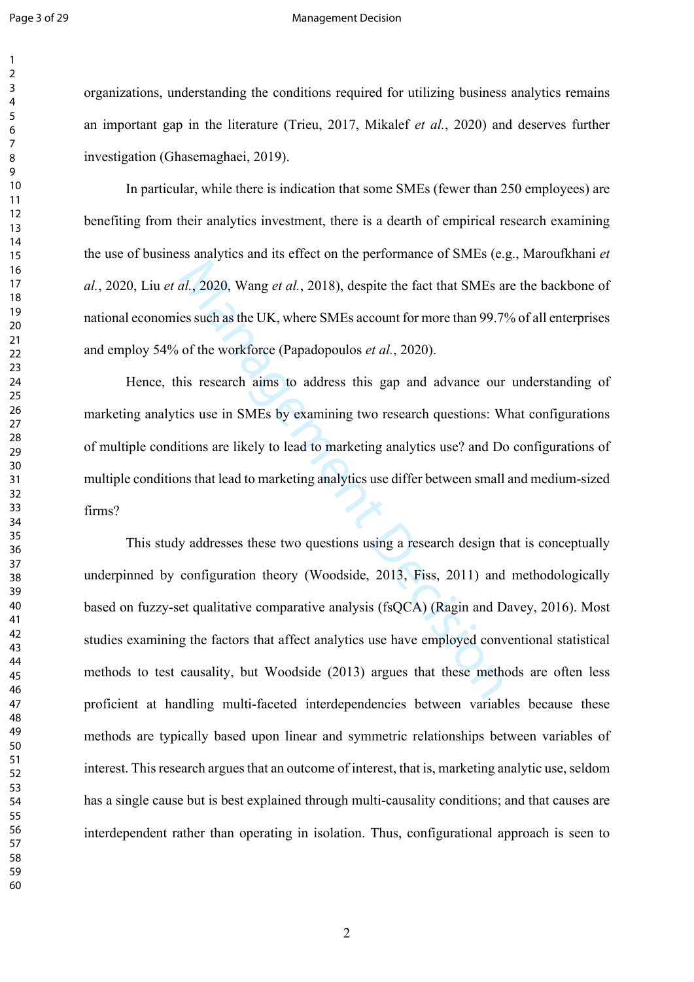#### Page 3 of 29 Management Decision

  organizations, understanding the conditions required for utilizing business analytics remains an important gap in the literature (Trieu, 2017, Mikalef *et al.*, 2020) and deserves further investigation (Ghasemaghaei, 2019).

In particular, while there is indication that some SMEs (fewer than 250 employees) are benefiting from their analytics investment, there is a dearth of empirical research examining the use of business analytics and its effect on the performance of SMEs (e.g., Maroufkhani *et al.*, 2020, Liu *et al.*, 2020, Wang *et al.*, 2018), despite the fact that SMEs are the backbone of national economies such as the UK, where SMEs account for more than 99.7% of all enterprises and employ 54% of the workforce (Papadopoulos *et al.*, 2020).

Hence, this research aims to address this gap and advance our understanding of marketing analytics use in SMEs by examining two research questions: What configurations of multiple conditions are likely to lead to marketing analytics use? and Do configurations of multiple conditions that lead to marketing analytics use differ between small and medium-sized firms?

al., 2020, Wang et al., 2018), despite the fact that SMEs a<br>es such as the UK, where SMEs account for more than 99.7<br>of the workforce (Papadopoulos *et al.*, 2020).<br>in research aims to address this gap and advance our<br>ics This study addresses these two questions using a research design that is conceptually underpinned by configuration theory (Woodside, 2013, Fiss, 2011) and methodologically based on fuzzy-set qualitative comparative analysis (fsQCA) (Ragin and Davey, 2016). Most studies examining the factors that affect analytics use have employed conventional statistical methods to test causality, but Woodside (2013) argues that these methods are often less proficient at handling multi-faceted interdependencies between variables because these methods are typically based upon linear and symmetric relationships between variables of interest. This research argues that an outcome of interest, that is, marketing analytic use, seldom has a single cause but is best explained through multi-causality conditions; and that causes are interdependent rather than operating in isolation. Thus, configurational approach is seen to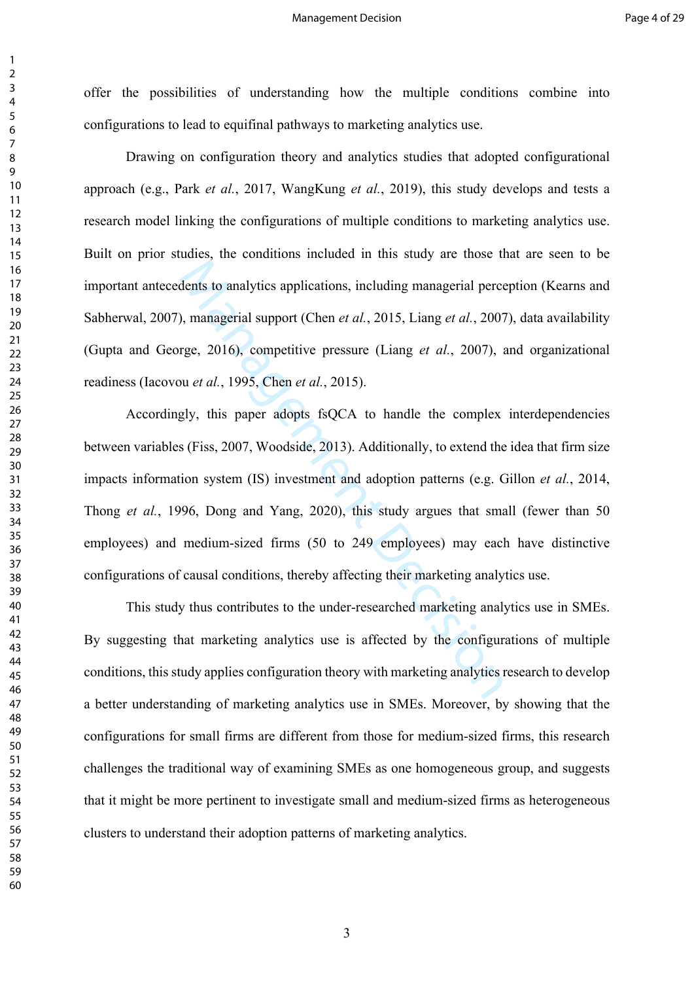offer the possibilities of understanding how the multiple conditions combine into configurations to lead to equifinal pathways to marketing analytics use.

Drawing on configuration theory and analytics studies that adopted configurational approach (e.g., Park *et al.*, 2017, WangKung *et al.*, 2019), this study develops and tests a research model linking the configurations of multiple conditions to marketing analytics use. Built on prior studies, the conditions included in this study are those that are seen to be important antecedents to analytics applications, including managerial perception (Kearns and Sabherwal, 2007), managerial support (Chen *et al.*, 2015, Liang *et al.*, 2007), data availability (Gupta and George, 2016), competitive pressure (Liang *et al.*, 2007), and organizational readiness (Iacovou *et al.*, 1995, Chen *et al.*, 2015).

dents to analytics applications, including managerial perce<br>
), managerial support (Chen *et al.*, 2015, Liang *et al.*, 2007<br>
rge, 2016), competitive pressure (Liang *et al.*, 2007), *a*<br>
u *et al.*, 1995, Chen *et al.*, Accordingly, this paper adopts fsQCA to handle the complex interdependencies between variables (Fiss, 2007, Woodside, 2013). Additionally, to extend the idea that firm size impacts information system (IS) investment and adoption patterns (e.g. Gillon *et al.*, 2014, Thong *et al.*, 1996, Dong and Yang, 2020), this study argues that small (fewer than 50 employees) and medium-sized firms (50 to 249 employees) may each have distinctive configurations of causal conditions, thereby affecting their marketing analytics use.

This study thus contributes to the under-researched marketing analytics use in SMEs. By suggesting that marketing analytics use is affected by the configurations of multiple conditions, this study applies configuration theory with marketing analytics research to develop a better understanding of marketing analytics use in SMEs. Moreover, by showing that the configurations for small firms are different from those for medium-sized firms, this research challenges the traditional way of examining SMEs as one homogeneous group, and suggests that it might be more pertinent to investigate small and medium-sized firms as heterogeneous clusters to understand their adoption patterns of marketing analytics.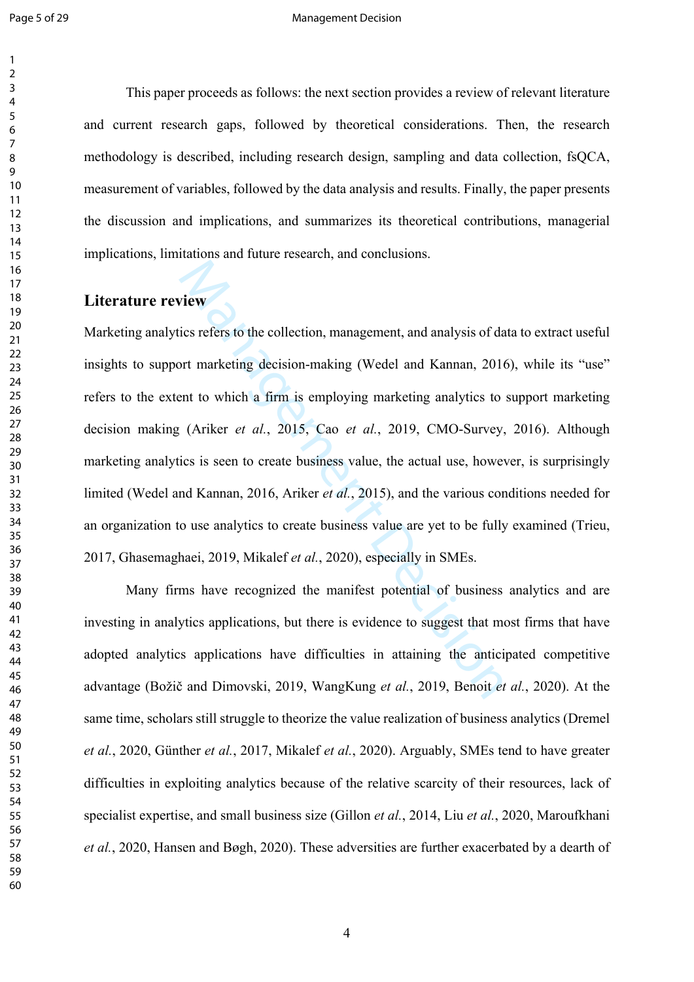#### Page 5 of 29 Management Decision

This paper proceeds as follows: the next section provides a review of relevant literature and current research gaps, followed by theoretical considerations. Then, the research methodology is described, including research design, sampling and data collection, fsQCA, measurement of variables, followed by the data analysis and results. Finally, the paper presents the discussion and implications, and summarizes its theoretical contributions, managerial implications, limitations and future research, and conclusions.

# **Literature review**

view<br>
view<br>
view<br>
cis refers to the collection, management, and analysis of da<br>
ort marketing decision-making (Wedel and Kannan, 2016<br>
ent to which a firm is employing marketing analytics to<br>
(Ariker *et al.*, 2015, Cao Marketing analytics refers to the collection, management, and analysis of data to extract useful insights to support marketing decision-making (Wedel and Kannan, 2016), while its "use" refers to the extent to which a firm is employing marketing analytics to support marketing decision making (Ariker *et al.*, 2015, Cao *et al.*, 2019, CMO-Survey, 2016). Although marketing analytics is seen to create business value, the actual use, however, is surprisingly limited (Wedel and Kannan, 2016, Ariker *et al.*, 2015), and the various conditions needed for an organization to use analytics to create business value are yet to be fully examined (Trieu, 2017, Ghasemaghaei, 2019, Mikalef *et al.*, 2020), especially in SMEs.

Many firms have recognized the manifest potential of business analytics and are investing in analytics applications, but there is evidence to suggest that most firms that have adopted analytics applications have difficulties in attaining the anticipated competitive advantage (Božič and Dimovski, 2019, WangKung *et al.*, 2019, Benoit *et al.*, 2020). At the same time, scholars still struggle to theorize the value realization of business analytics (Dremel *et al.*, 2020, Günther *et al.*, 2017, Mikalef *et al.*, 2020). Arguably, SMEs tend to have greater difficulties in exploiting analytics because of the relative scarcity of their resources, lack of specialist expertise, and small business size (Gillon *et al.*, 2014, Liu *et al.*, 2020, Maroufkhani *et al.*, 2020, Hansen and Bøgh, 2020). These adversities are further exacerbated by a dearth of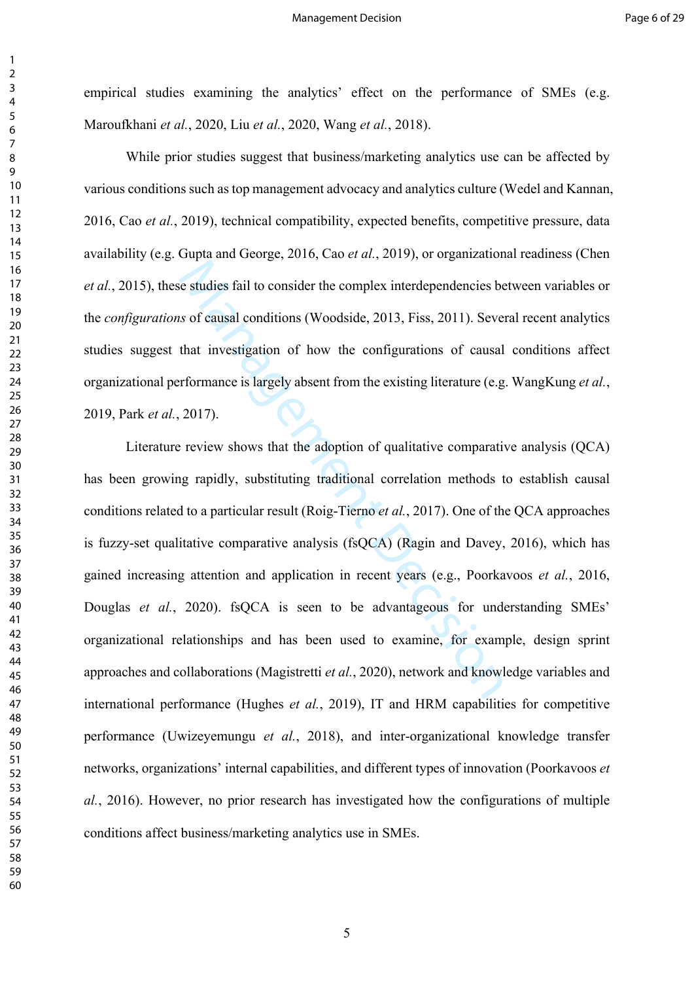empirical studies examining the analytics' effect on the performance of SMEs (e.g. Maroufkhani *et al.*, 2020, Liu *et al.*, 2020, Wang *et al.*, 2018).

While prior studies suggest that business/marketing analytics use can be affected by various conditions such as top management advocacy and analytics culture (Wedel and Kannan, 2016, Cao *et al.*, 2019), technical compatibility, expected benefits, competitive pressure, data availability (e.g. Gupta and George, 2016, Cao *et al.*, 2019), or organizational readiness (Chen *et al.*, 2015), these studies fail to consider the complex interdependencies between variables or the *configurations* of causal conditions (Woodside, 2013, Fiss, 2011). Several recent analytics studies suggest that investigation of how the configurations of causal conditions affect organizational performance is largely absent from the existing literature (e.g. WangKung *et al.*, 2019, Park *et al.*, 2017).

Let udies fail to consider the complex interdependencies be<br>as of causal conditions (Woodside, 2013, Fiss, 2011). Severath investigation of how the configurations of causal<br>afformance is largely absent from the existing l Literature review shows that the adoption of qualitative comparative analysis (QCA) has been growing rapidly, substituting traditional correlation methods to establish causal conditions related to a particular result (Roig-Tierno *et al.*, 2017). One of the QCA approaches is fuzzy-set qualitative comparative analysis (fsQCA) (Ragin and Davey, 2016), which has gained increasing attention and application in recent years (e.g., Poorkavoos *et al.*, 2016, Douglas *et al.*, 2020). fsQCA is seen to be advantageous for understanding SMEs' organizational relationships and has been used to examine, for example, design sprint approaches and collaborations (Magistretti *et al.*, 2020), network and knowledge variables and international performance (Hughes *et al.*, 2019), IT and HRM capabilities for competitive performance (Uwizeyemungu *et al.*, 2018), and inter-organizational knowledge transfer networks, organizations' internal capabilities, and different types of innovation (Poorkavoos *et al.*, 2016). However, no prior research has investigated how the configurations of multiple conditions affect business/marketing analytics use in SMEs.

 $\mathbf{1}$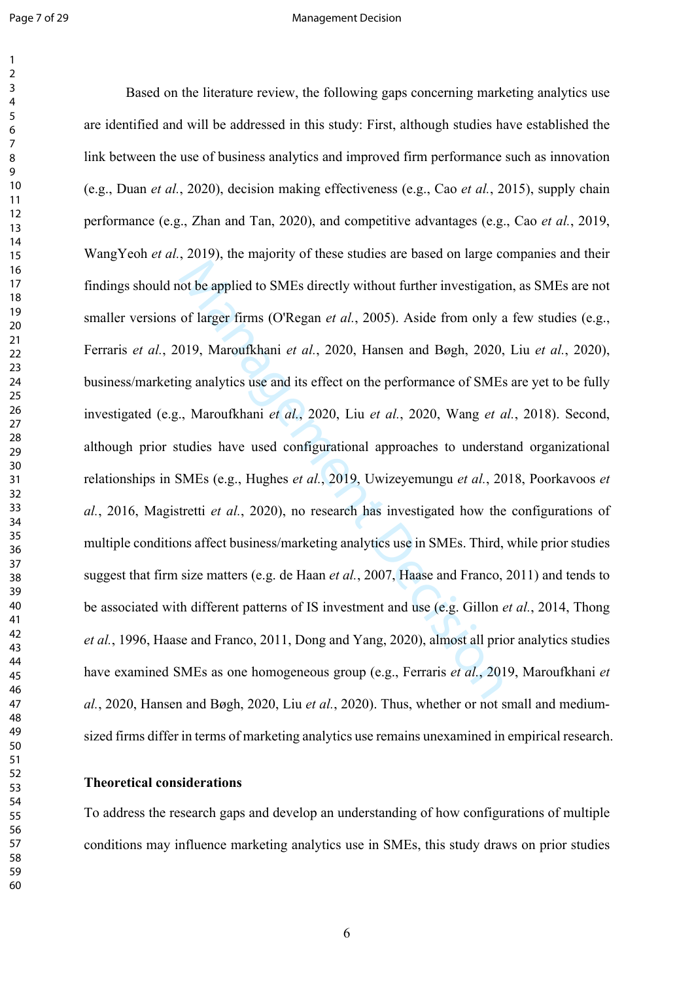$\mathbf{1}$ 

#### Page 7 of 29 Management Decision

oot be applied to SMEs directly without further investigatio<br>of larger firms (O'Regan *et al.*, 2005). Aside from only  $\varepsilon$ <br>019, Maroufkhani *et al.*, 2020, Hansen and Bøgh, 2020,<br>ng analytics use and its effect on the p Based on the literature review, the following gaps concerning marketing analytics use are identified and will be addressed in this study: First, although studies have established the link between the use of business analytics and improved firm performance such as innovation (e.g., Duan *et al.*, 2020), decision making effectiveness (e.g., Cao *et al.*, 2015), supply chain performance (e.g., Zhan and Tan, 2020), and competitive advantages (e.g., Cao *et al.*, 2019, WangYeoh *et al.*, 2019), the majority of these studies are based on large companies and their findings should not be applied to SMEs directly without further investigation, as SMEs are not smaller versions of larger firms (O'Regan *et al.*, 2005). Aside from only a few studies (e.g., Ferraris *et al.*, 2019, Maroufkhani *et al.*, 2020, Hansen and Bøgh, 2020, Liu *et al.*, 2020), business/marketing analytics use and its effect on the performance of SMEs are yet to be fully investigated (e.g., Maroufkhani *et al.*, 2020, Liu *et al.*, 2020, Wang *et al.*, 2018). Second, although prior studies have used configurational approaches to understand organizational relationships in SMEs (e.g., Hughes *et al.*, 2019, Uwizeyemungu *et al.*, 2018, Poorkavoos *et al.*, 2016, Magistretti *et al.*, 2020), no research has investigated how the configurations of multiple conditions affect business/marketing analytics use in SMEs. Third, while prior studies suggest that firm size matters (e.g. de Haan *et al.*, 2007, Haase and Franco, 2011) and tends to be associated with different patterns of IS investment and use (e.g. Gillon *et al.*, 2014, Thong *et al.*, 1996, Haase and Franco, 2011, Dong and Yang, 2020), almost all prior analytics studies have examined SMEs as one homogeneous group (e.g., Ferraris *et al.*, 2019, Maroufkhani *et al.*, 2020, Hansen and Bøgh, 2020, Liu *et al.*, 2020). Thus, whether or not small and mediumsized firms differ in terms of marketing analytics use remains unexamined in empirical research.

#### **Theoretical considerations**

To address the research gaps and develop an understanding of how configurations of multiple conditions may influence marketing analytics use in SMEs, this study draws on prior studies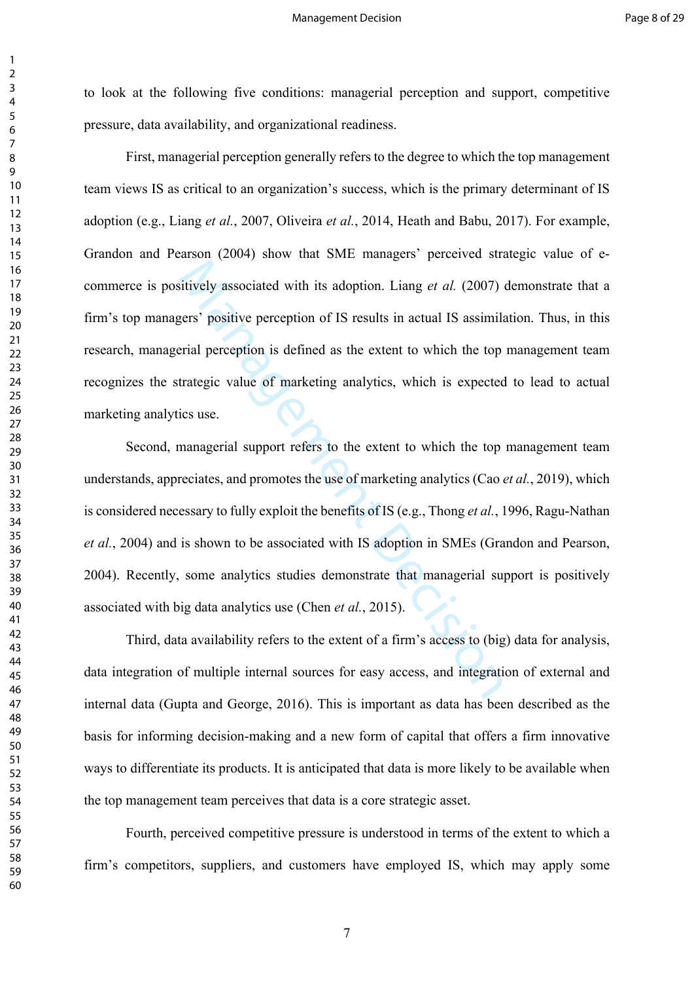to look at the following five conditions: managerial perception and support, competitive pressure, data availability, and organizational readiness.

First, managerial perception generally refers to the degree to which the top management team views IS as critical to an organization's success, which is the primary determinant of IS adoption (e.g., Liang *et al.*, 2007, Oliveira *et al.*, 2014, Heath and Babu, 2017). For example, Grandon and Pearson (2004) show that SME managers' perceived strategic value of ecommerce is positively associated with its adoption. Liang *et al.* (2007) demonstrate that a firm's top managers' positive perception of IS results in actual IS assimilation. Thus, in this research, managerial perception is defined as the extent to which the top management team recognizes the strategic value of marketing analytics, which is expected to lead to actual marketing analytics use.

stituctly associated with its adoption. Liang *et al.* (2007) igers' positive perception of IS results in actual IS assimilarial perception is defined as the extent to which the top trategic value of marketing analytics, Second, managerial support refers to the extent to which the top management team understands, appreciates, and promotes the use of marketing analytics (Cao *et al.*, 2019), which is considered necessary to fully exploit the benefits of IS (e.g., Thong *et al.*, 1996, Ragu-Nathan *et al.*, 2004) and is shown to be associated with IS adoption in SMEs (Grandon and Pearson, 2004). Recently, some analytics studies demonstrate that managerial support is positively associated with big data analytics use (Chen *et al.*, 2015).

Third, data availability refers to the extent of a firm's access to (big) data for analysis, data integration of multiple internal sources for easy access, and integration of external and internal data (Gupta and George, 2016). This is important as data has been described as the basis for informing decision-making and a new form of capital that offers a firm innovative ways to differentiate its products. It is anticipated that data is more likely to be available when the top management team perceives that data is a core strategic asset.

Fourth, perceived competitive pressure is understood in terms of the extent to which a firm's competitors, suppliers, and customers have employed IS, which may apply some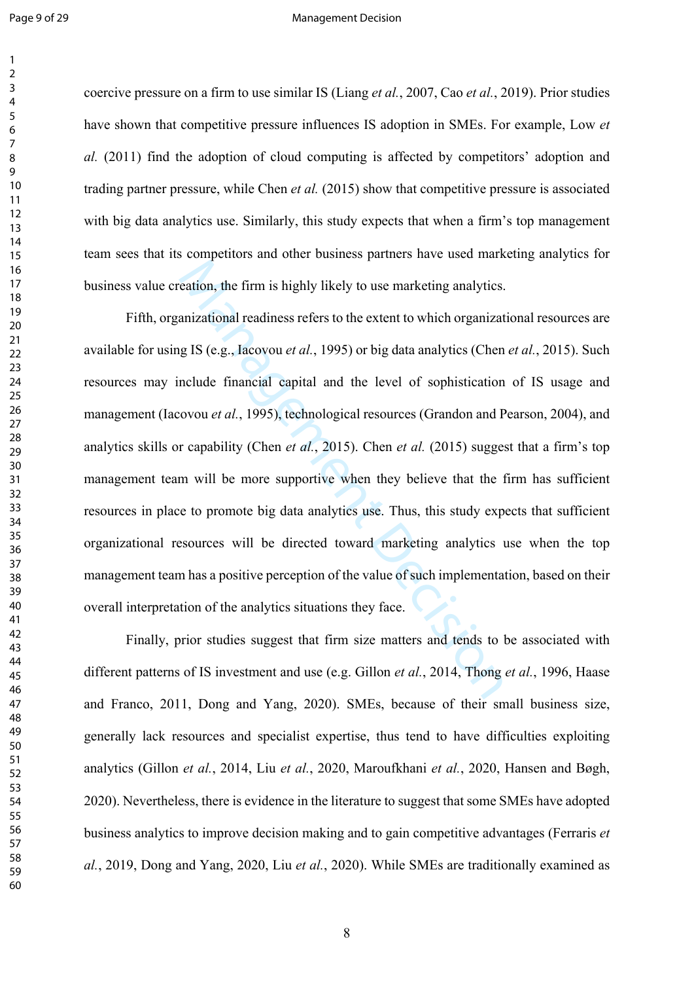$\mathbf{1}$ 

#### Page 9 of 29 Management Decision

coercive pressure on a firm to use similar IS (Liang *et al.*, 2007, Cao *et al.*, 2019). Prior studies have shown that competitive pressure influences IS adoption in SMEs. For example, Low *et al.* (2011) find the adoption of cloud computing is affected by competitors' adoption and trading partner pressure, while Chen *et al.* (2015) show that competitive pressure is associated with big data analytics use. Similarly, this study expects that when a firm's top management team sees that its competitors and other business partners have used marketing analytics for business value creation, the firm is highly likely to use marketing analytics.

reation, the firm is highly likely to use marketing analytics.<br>
anizational readiness refers to the extent to which organizate<br>
anizational readiness refers to the extent to which organizate<br>
anclude financial capital and Fifth, organizational readiness refers to the extent to which organizational resources are available for using IS (e.g., Iacovou *et al.*, 1995) or big data analytics (Chen *et al.*, 2015). Such resources may include financial capital and the level of sophistication of IS usage and management (Iacovou *et al.*, 1995), technological resources (Grandon and Pearson, 2004), and analytics skills or capability (Chen *et al.*, 2015). Chen *et al.* (2015) suggest that a firm's top management team will be more supportive when they believe that the firm has sufficient resources in place to promote big data analytics use. Thus, this study expects that sufficient organizational resources will be directed toward marketing analytics use when the top management team has a positive perception of the value of such implementation, based on their overall interpretation of the analytics situations they face.

Finally, prior studies suggest that firm size matters and tends to be associated with different patterns of IS investment and use (e.g. Gillon *et al.*, 2014, Thong *et al.*, 1996, Haase and Franco, 2011, Dong and Yang, 2020). SMEs, because of their small business size, generally lack resources and specialist expertise, thus tend to have difficulties exploiting analytics (Gillon *et al.*, 2014, Liu *et al.*, 2020, Maroufkhani *et al.*, 2020, Hansen and Bøgh, 2020). Nevertheless, there is evidence in the literature to suggest that some SMEs have adopted business analytics to improve decision making and to gain competitive advantages (Ferraris *et al.*, 2019, Dong and Yang, 2020, Liu *et al.*, 2020). While SMEs are traditionally examined as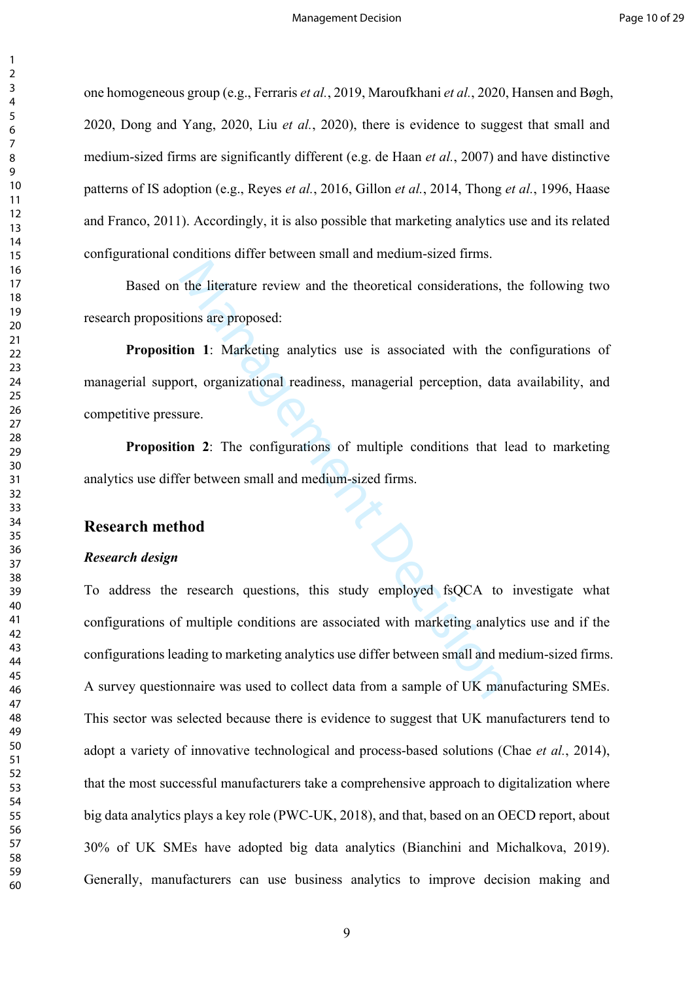one homogeneous group (e.g., Ferraris *et al.*, 2019, Maroufkhani *et al.*, 2020, Hansen and Bøgh, 2020, Dong and Yang, 2020, Liu *et al.*, 2020), there is evidence to suggest that small and medium-sized firms are significantly different (e.g. de Haan *et al.*, 2007) and have distinctive patterns of IS adoption (e.g., Reyes *et al.*, 2016, Gillon *et al.*, 2014, Thong *et al.*, 1996, Haase and Franco, 2011). Accordingly, it is also possible that marketing analytics use and its related configurational conditions differ between small and medium-sized firms.

Based on the literature review and the theoretical considerations, the following two research propositions are proposed:

**Proposition 1**: Marketing analytics use is associated with the configurations of managerial support, organizational readiness, managerial perception, data availability, and competitive pressure.

**Proposition 2**: The configurations of multiple conditions that lead to marketing analytics use differ between small and medium-sized firms.

# **Research method**

#### *Research design*

the literature review and the theoretical considerations,<br>tions are proposed:<br>
ion 1: Marketing analytics use is associated with the<br>
ort, organizational readiness, managerial perception, dat<br>
sure.<br> **ON 2:** The configurat To address the research questions, this study employed fsQCA to investigate what configurations of multiple conditions are associated with marketing analytics use and if the configurations leading to marketing analytics use differ between small and medium-sized firms. A survey questionnaire was used to collect data from a sample of UK manufacturing SMEs. This sector was selected because there is evidence to suggest that UK manufacturers tend to adopt a variety of innovative technological and process-based solutions (Chae *et al.*, 2014), that the most successful manufacturers take a comprehensive approach to digitalization where big data analytics plays a key role (PWC-UK, 2018), and that, based on an OECD report, about 30% of UK SMEs have adopted big data analytics (Bianchini and Michalkova, 2019). Generally, manufacturers can use business analytics to improve decision making and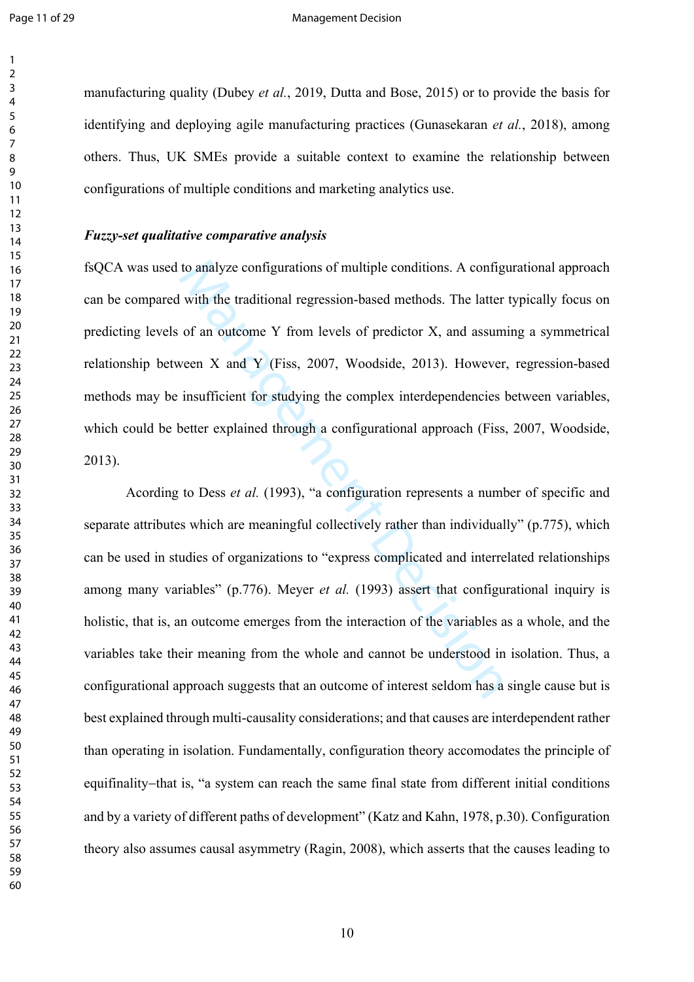manufacturing quality (Dubey *et al.*, 2019, Dutta and Bose, 2015) or to provide the basis for identifying and deploying agile manufacturing practices (Gunasekaran *et al.*, 2018), among others. Thus, UK SMEs provide a suitable context to examine the relationship between configurations of multiple conditions and marketing analytics use.

# *Fuzzy-set qualitative comparative analysis*

fsQCA was used to analyze configurations of multiple conditions. A configurational approach can be compared with the traditional regression-based methods. The latter typically focus on predicting levels of an outcome Y from levels of predictor X, and assuming a symmetrical relationship between X and Y (Fiss, 2007, Woodside, 2013). However, regression-based methods may be insufficient for studying the complex interdependencies between variables, which could be better explained through a configurational approach (Fiss, 2007, Woodside, 2013).

to analyze configurations of multiple conditions. A config<br>with the traditional regression-based methods. The latter<br>of an outcome Y from levels of predictor X, and assum<br>ween X and Y (Fiss, 2007, Woodside, 2013). However Acording to Dess *et al.* (1993), "a configuration represents a number of specific and separate attributes which are meaningful collectively rather than individually" (p.775), which can be used in studies of organizations to "express complicated and interrelated relationships among many variables" (p.776). Meyer *et al.* (1993) assert that configurational inquiry is holistic, that is, an outcome emerges from the interaction of the variables as a whole, and the variables take their meaning from the whole and cannot be understood in isolation. Thus, a configurational approach suggests that an outcome of interest seldom has a single cause but is best explained through multi-causality considerations; and that causes are interdependent rather than operating in isolation. Fundamentally, configuration theory accomodates the principle of equifinality-that is, "a system can reach the same final state from different initial conditions and by a variety of different paths of development" (Katz and Kahn, 1978, p.30). Configuration theory also assumes causal asymmetry (Ragin, 2008), which asserts that the causes leading to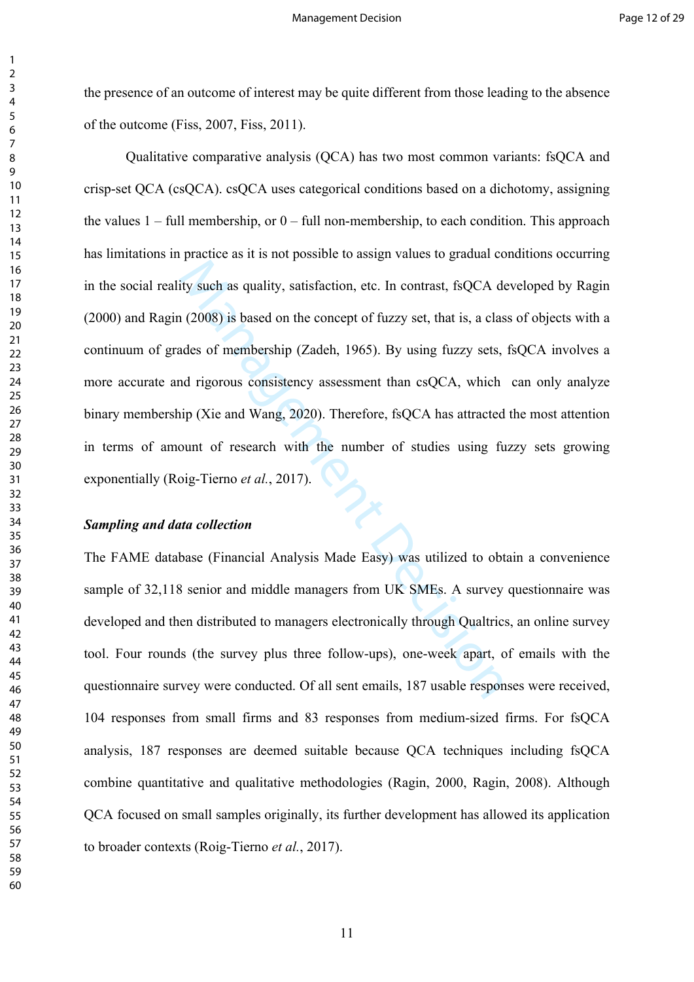the presence of an outcome of interest may be quite different from those leading to the absence of the outcome (Fiss, 2007, Fiss, 2011).

Frame and a quality, satisfaction, etc. In contrast, fsQCA do a (2008) is based on the concept of fuzzy set, that is, a class<br>dades of membership (Zadeh, 1965). By using fuzzy sets,<br>and rigorous consistency assessment tha Qualitative comparative analysis (QCA) has two most common variants: fsQCA and crisp-set QCA (csQCA). csQCA uses categorical conditions based on a dichotomy, assigning the values  $1 - full$  membership, or  $0 - full$  non-membership, to each condition. This approach has limitations in practice as it is not possible to assign values to gradual conditions occurring in the social reality such as quality, satisfaction, etc. In contrast, fsQCA developed by Ragin (2000) and Ragin (2008) is based on the concept of fuzzy set, that is, a class of objects with a continuum of grades of membership (Zadeh, 1965). By using fuzzy sets, fsQCA involves a more accurate and rigorous consistency assessment than csQCA, which can only analyze binary membership (Xie and Wang, 2020). Therefore, fsQCA has attracted the most attention in terms of amount of research with the number of studies using fuzzy sets growing exponentially (Roig-Tierno *et al.*, 2017).

# *Sampling and data collection*

The FAME database (Financial Analysis Made Easy) was utilized to obtain a convenience sample of 32,118 senior and middle managers from UK SMEs. A survey questionnaire was developed and then distributed to managers electronically through Qualtrics, an online survey tool. Four rounds (the survey plus three follow-ups), one-week apart, of emails with the questionnaire survey were conducted. Of all sent emails, 187 usable responses were received, 104 responses from small firms and 83 responses from medium-sized firms. For fsQCA analysis, 187 responses are deemed suitable because QCA techniques including fsQCA combine quantitative and qualitative methodologies (Ragin, 2000, Ragin, 2008). Although QCA focused on small samples originally, its further development has allowed its application to broader contexts (Roig-Tierno *et al.*, 2017).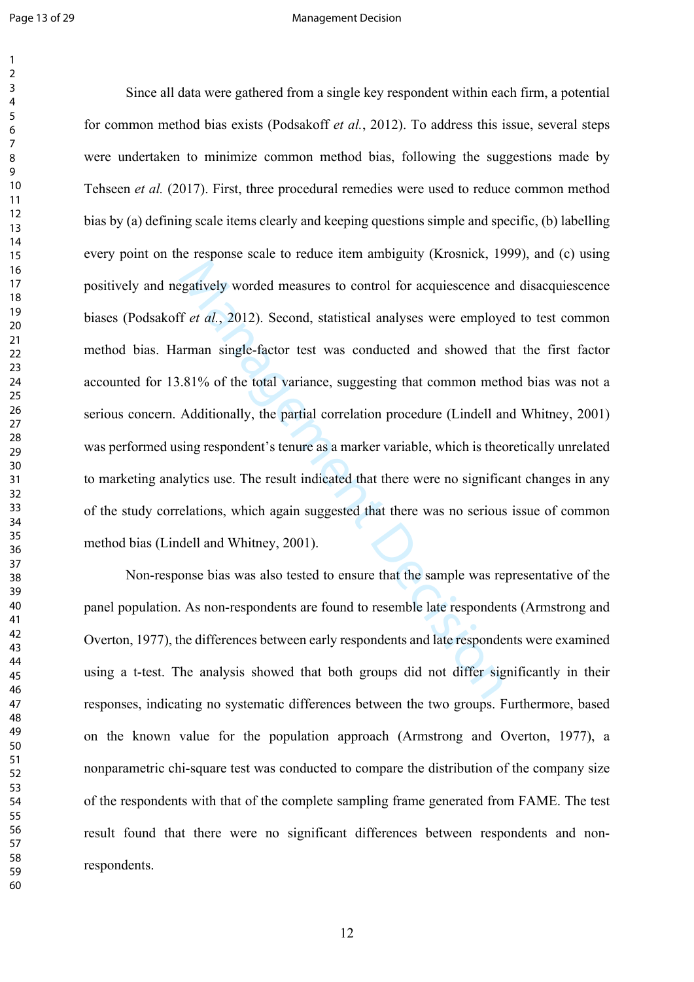#### Page 13 of 29 Management Decision

example and measures to control for acquiescence and<br>
The *et al.*, 2012). Second, statistical analyses were employed<br>
Second and showed the Second Second Second and showed the Second Second<br>
Second Second Additionally, th Since all data were gathered from a single key respondent within each firm, a potential for common method bias exists (Podsakoff *et al.*, 2012). To address this issue, several steps were undertaken to minimize common method bias, following the suggestions made by Tehseen *et al.* (2017). First, three procedural remedies were used to reduce common method bias by (a) defining scale items clearly and keeping questions simple and specific, (b) labelling every point on the response scale to reduce item ambiguity (Krosnick, 1999), and (c) using positively and negatively worded measures to control for acquiescence and disacquiescence biases (Podsakoff *et al.*, 2012). Second, statistical analyses were employed to test common method bias. Harman single-factor test was conducted and showed that the first factor accounted for 13.81% of the total variance, suggesting that common method bias was not a serious concern. Additionally, the partial correlation procedure (Lindell and Whitney, 2001) was performed using respondent's tenure as a marker variable, which is theoretically unrelated to marketing analytics use. The result indicated that there were no significant changes in any of the study correlations, which again suggested that there was no serious issue of common method bias (Lindell and Whitney, 2001).

Non-response bias was also tested to ensure that the sample was representative of the panel population. As non-respondents are found to resemble late respondents (Armstrong and Overton, 1977), the differences between early respondents and late respondents were examined using a t-test. The analysis showed that both groups did not differ significantly in their responses, indicating no systematic differences between the two groups. Furthermore, based on the known value for the population approach (Armstrong and Overton, 1977), a nonparametric chi-square test was conducted to compare the distribution of the company size of the respondents with that of the complete sampling frame generated from FAME. The test result found that there were no significant differences between respondents and nonrespondents.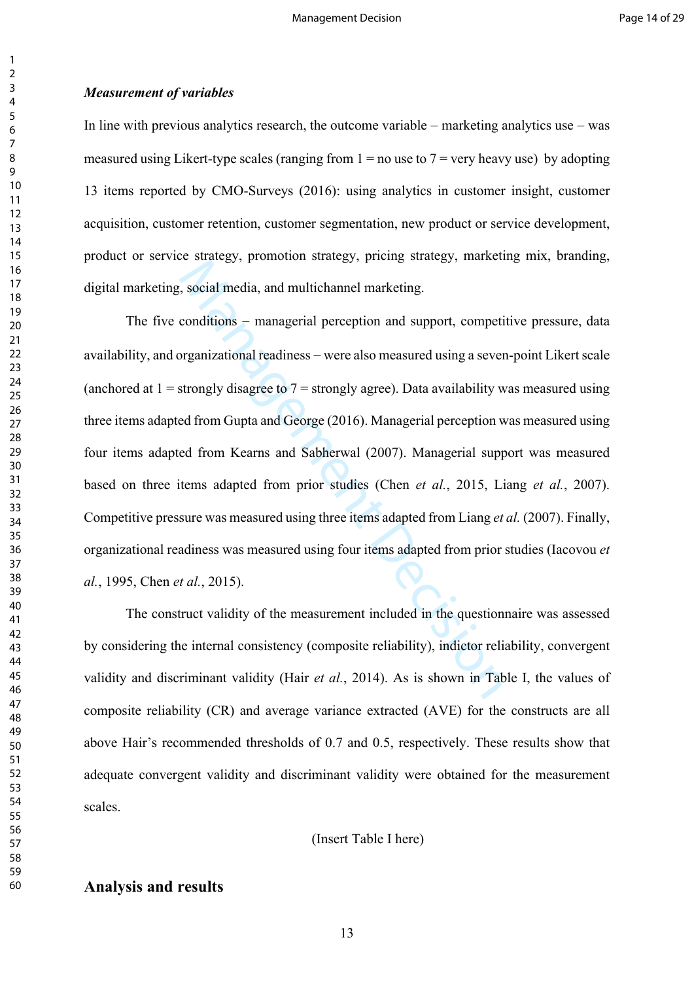In line with previous analytics research, the outcome variable  $-$  marketing analytics use  $-$  was measured using Likert-type scales (ranging from  $1 =$  no use to  $7 =$  very heavy use) by adopting 13 items reported by CMO-Surveys (2016): using analytics in customer insight, customer acquisition, customer retention, customer segmentation, new product or service development, product or service strategy, promotion strategy, pricing strategy, marketing mix, branding, digital marketing, social media, and multichannel marketing.

is, social media, and multichannel marketing.<br>
social media, and multichannel marketing.<br>
conditions – managerial perception and support, competitive propertions – managerial perception and support, competity or<br>
strongly The five conditions managerial perception and support, competitive pressure, data availability, and organizational readiness - were also measured using a seven-point Likert scale (anchored at  $1 =$  strongly disagree to  $7 =$  strongly agree). Data availability was measured using three items adapted from Gupta and George (2016). Managerial perception was measured using four items adapted from Kearns and Sabherwal (2007). Managerial support was measured based on three items adapted from prior studies (Chen *et al.*, 2015, Liang *et al.*, 2007). Competitive pressure was measured using three items adapted from Liang *et al.* (2007). Finally, organizational readiness was measured using four items adapted from prior studies (Iacovou *et al.*, 1995, Chen *et al.*, 2015).

The construct validity of the measurement included in the questionnaire was assessed by considering the internal consistency (composite reliability), indictor reliability, convergent validity and discriminant validity (Hair *et al.*, 2014). As is shown in Table I, the values of composite reliability (CR) and average variance extracted (AVE) for the constructs are all above Hair's recommended thresholds of 0.7 and 0.5, respectively. These results show that adequate convergent validity and discriminant validity were obtained for the measurement scales.

(Insert Table I here)

# **Analysis and results**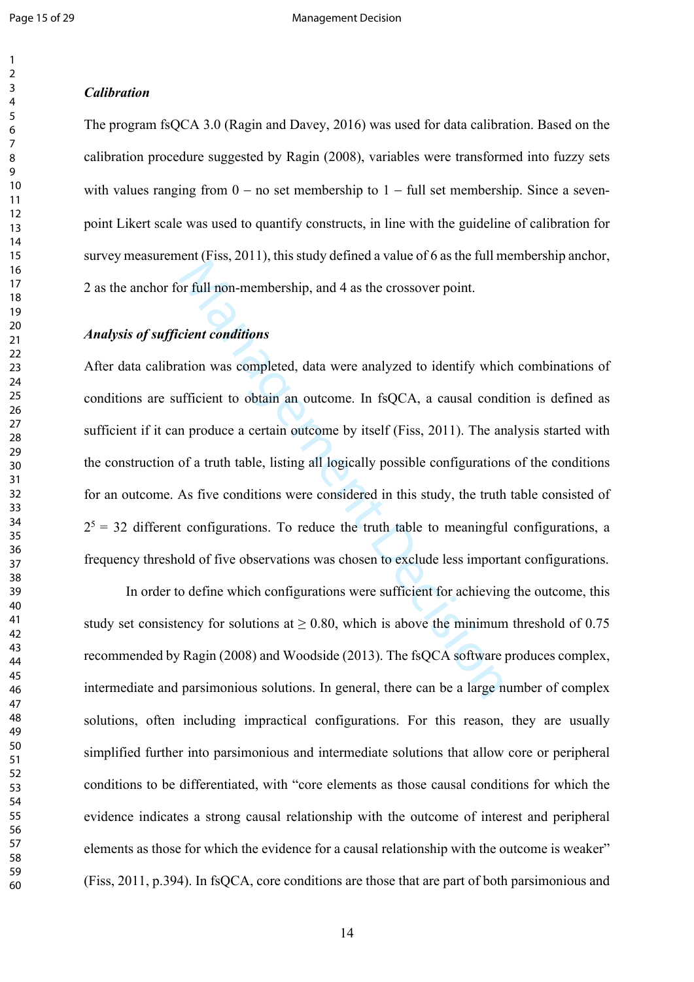#### $\overline{3}$  $\overline{4}$  $\overline{7}$

# *Calibration*

The program fsQCA 3.0 (Ragin and Davey, 2016) was used for data calibration. Based on the calibration procedure suggested by Ragin (2008), variables were transformed into fuzzy sets with values ranging from  $0 -$  no set membership to  $1 -$  full set membership. Since a sevenpoint Likert scale was used to quantify constructs, in line with the guideline of calibration for survey measurement (Fiss, 2011), this study defined a value of 6 as the full membership anchor, 2 as the anchor for full non-membership, and 4 as the crossover point.

# *Analysis of sufficient conditions*

but (1.158, 2011), thus state, denoted a value of 0 ds the tail in<br>or full non-membership, and 4 as the crossover point.<br>cient conditions<br>ation was completed, data were analyzed to identify which<br>afficient to obtain an ou After data calibration was completed, data were analyzed to identify which combinations of conditions are sufficient to obtain an outcome. In fsQCA, a causal condition is defined as sufficient if it can produce a certain outcome by itself (Fiss, 2011). The analysis started with the construction of a truth table, listing all logically possible configurations of the conditions for an outcome. As five conditions were considered in this study, the truth table consisted of  $2^5 = 32$  different configurations. To reduce the truth table to meaningful configurations, a frequency threshold of five observations was chosen to exclude less important configurations.

In order to define which configurations were sufficient for achieving the outcome, this study set consistency for solutions at  $\geq 0.80$ , which is above the minimum threshold of 0.75 recommended by Ragin (2008) and Woodside (2013). The fsQCA software produces complex, intermediate and parsimonious solutions. In general, there can be a large number of complex solutions, often including impractical configurations. For this reason, they are usually simplified further into parsimonious and intermediate solutions that allow core or peripheral conditions to be differentiated, with "core elements as those causal conditions for which the evidence indicates a strong causal relationship with the outcome of interest and peripheral elements as those for which the evidence for a causal relationship with the outcome is weaker" (Fiss, 2011, p.394). In fsQCA, core conditions are those that are part of both parsimonious and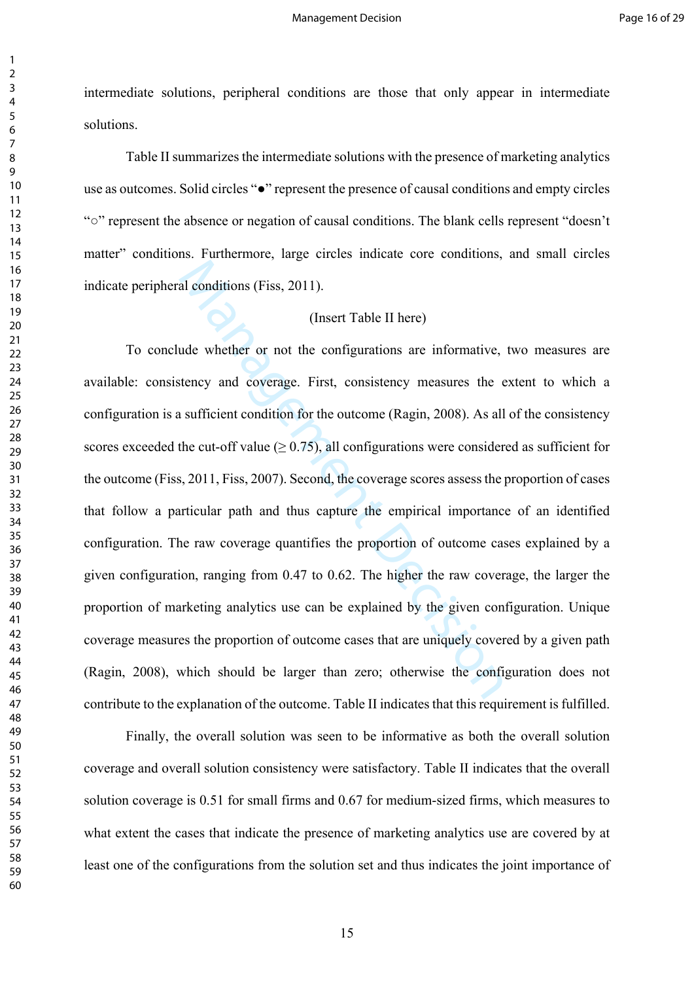intermediate solutions, peripheral conditions are those that only appear in intermediate solutions.

Table II summarizes the intermediate solutions with the presence of marketing analytics use as outcomes. Solid circles " ●" represent the presence of causal conditions and empty circles " ○" represent the absence or negation of causal conditions. The blank cells represent "doesn't matter" conditions. Furthermore, large circles indicate core conditions, and small circles indicate peripheral conditions (Fiss, 2011).

# (Insert Table II here)

al conditions (Fiss, 2011).<br>
(Insert Table II here)<br>
ude whether or not the configurations are informative,<br>
stency and coverage. First, consistency measures the c<br>
sufficient condition for the outcome (Ragin, 2008). As a To conclude whether or not the configurations are informative, two measures are available: consistency and coverage. First, consistency measures the extent to which a configuration is a sufficient condition for the outcome (Ragin, 2008). As all of the consistency scores exceeded the cut-off value  $(≥ 0.75)$ , all configurations were considered as sufficient for the outcome (Fiss, 2011, Fiss, 2007). Second, the coverage scores assess the proportion of cases that follow a particular path and thus capture the empirical importance of an identified configuration. The raw coverage quantifies the proportion of outcome cases explained by a given configuration, ranging from 0.47 to 0.62. The higher the raw coverage, the larger the proportion of marketing analytics use can be explained by the given configuration. Unique coverage measures the proportion of outcome cases that are uniquely covered by a given path (Ragin, 2008), which should be larger than zero; otherwise the configuration does not contribute to the explanation of the outcome. Table II indicates that this requirement is fulfilled.

Finally, the overall solution was seen to be informative as both the overall solution coverage and overall solution consistency were satisfactory. Table II indicates that the overall solution coverage is 0.51 for small firms and 0.67 for medium-sized firms, which measures to what extent the cases that indicate the presence of marketing analytics use are covered by at least one of the configurations from the solution set and thus indicates the joint importance of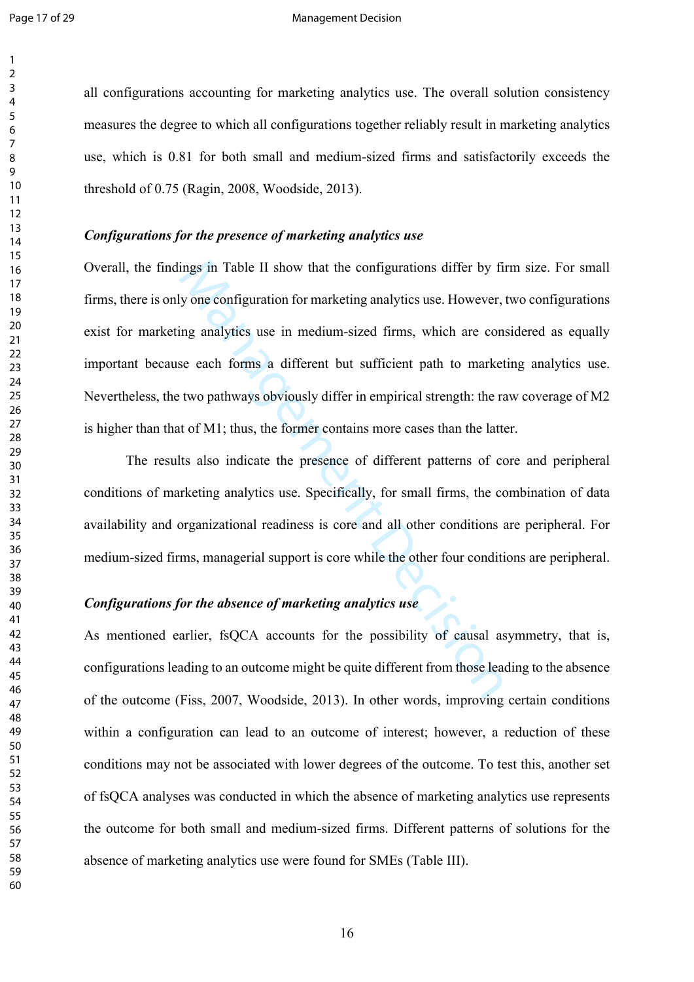all configurations accounting for marketing analytics use. The overall solution consistency measures the degree to which all configurations together reliably result in marketing analytics use, which is 0.81 for both small and medium-sized firms and satisfactorily exceeds the threshold of 0.75 (Ragin, 2008, Woodside, 2013).

### *Configurations for the presence of marketing analytics use*

ings in Table II show that the configurations differ by fit<br>y one configuration for marketing analytics use. However,<br>ing analytics use in medium-sized firms, which are con<br>se each forms a different but sufficient path to Overall, the findings in Table II show that the configurations differ by firm size. For small firms, there is only one configuration for marketing analytics use. However, two configurations exist for marketing analytics use in medium-sized firms, which are considered as equally important because each forms a different but sufficient path to marketing analytics use. Nevertheless, the two pathways obviously differ in empirical strength: the raw coverage of M2 is higher than that of M1; thus, the former contains more cases than the latter.

The results also indicate the presence of different patterns of core and peripheral conditions of marketing analytics use. Specifically, for small firms, the combination of data availability and organizational readiness is core and all other conditions are peripheral. For medium-sized firms, managerial support is core while the other four conditions are peripheral.

# *Configurations for the absence of marketing analytics use*

As mentioned earlier, fsOCA accounts for the possibility of causal asymmetry, that is, configurations leading to an outcome might be quite different from those leading to the absence of the outcome (Fiss, 2007, Woodside, 2013). In other words, improving certain conditions within a configuration can lead to an outcome of interest; however, a reduction of these conditions may not be associated with lower degrees of the outcome. To test this, another set of fsQCA analyses was conducted in which the absence of marketing analytics use represents the outcome for both small and medium-sized firms. Different patterns of solutions for the absence of marketing analytics use were found for SMEs (Table III).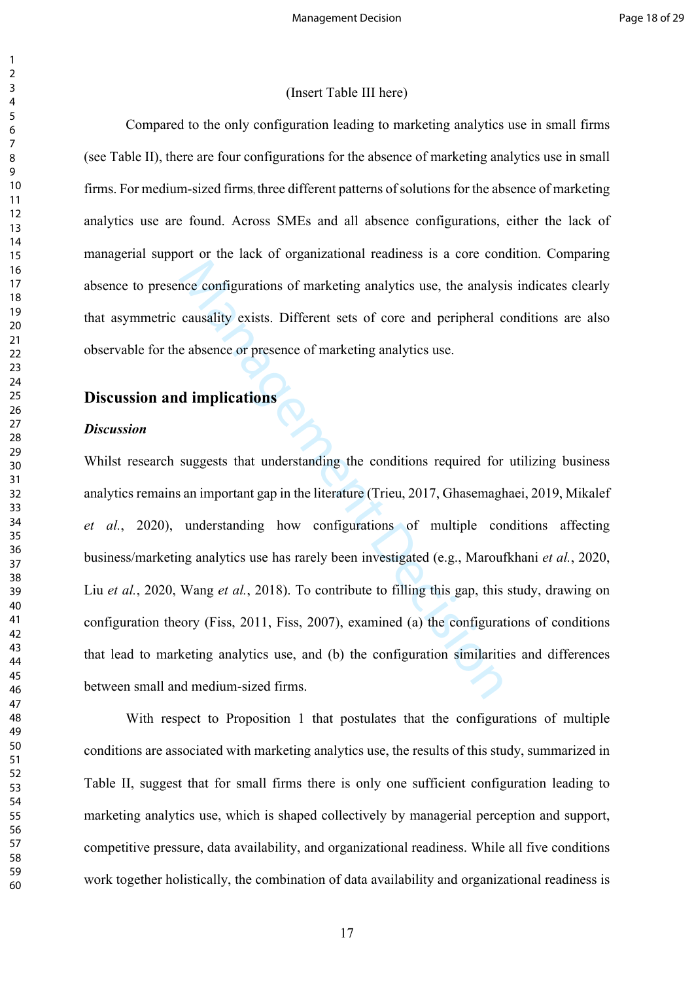#### (Insert Table III here)

Compared to the only configuration leading to marketing analytics use in small firms (see Table II), there are four configurations for the absence of marketing analytics use in small firms. For medium-sized firms, three different patterns of solutions for the absence of marketing analytics use are found. Across SMEs and all absence configurations, either the lack of managerial support or the lack of organizational readiness is a core condition. Comparing absence to presence configurations of marketing analytics use, the analysis indicates clearly that asymmetric causality exists. Different sets of core and peripheral conditions are also observable for the absence or presence of marketing analytics use.

# **Discussion and implications**

#### *Discussion*

nee configurations of marketing analytics use, the analysis<br>causality exists. Different sets of core and peripheral c<br>e absence or presence of marketing analytics use.<br>**d implications**<br>suggests that understanding the condi Whilst research suggests that understanding the conditions required for utilizing business analytics remains an important gap in the literature (Trieu, 2017, Ghasemaghaei, 2019, Mikalef *et al.*, 2020), understanding how configurations of multiple conditions affecting business/marketing analytics use has rarely been investigated (e.g., Maroufkhani *et al.*, 2020, Liu *et al.*, 2020, Wang *et al.*, 2018). To contribute to filling this gap, this study, drawing on configuration theory (Fiss, 2011, Fiss, 2007), examined (a) the configurations of conditions that lead to marketing analytics use, and (b) the configuration similarities and differences between small and medium-sized firms.

With respect to Proposition 1 that postulates that the configurations of multiple conditions are associated with marketing analytics use, the results of this study, summarized in Table II, suggest that for small firms there is only one sufficient configuration leading to marketing analytics use, which is shaped collectively by managerial perception and support, competitive pressure, data availability, and organizational readiness. While all five conditions work together holistically, the combination of data availability and organizational readiness is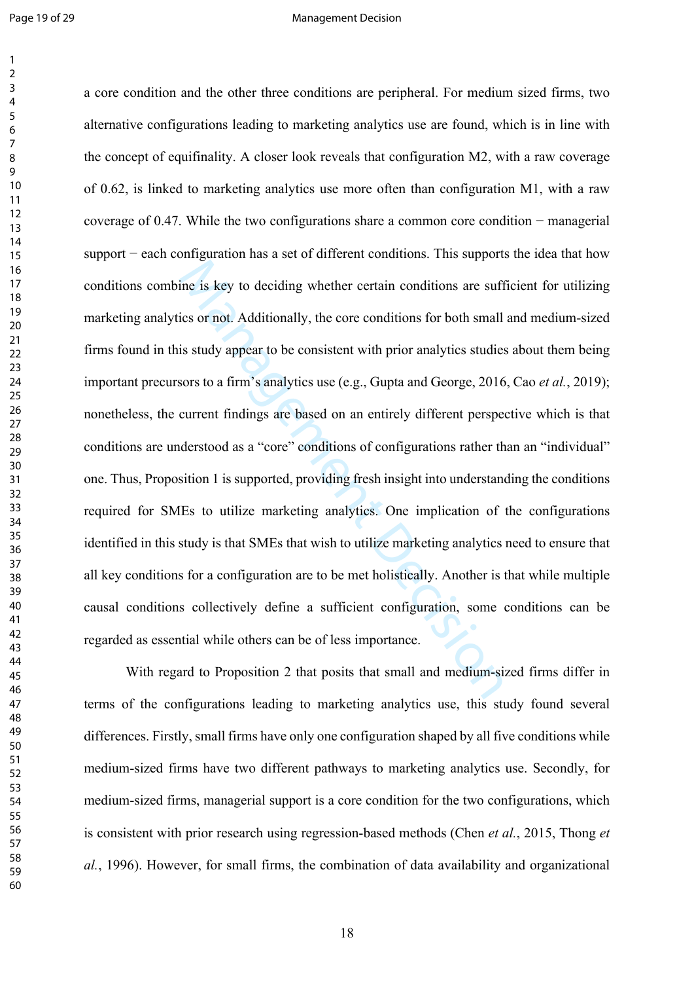$\mathbf{1}$ 

#### Page 19 of 29 Management Decision

The is key to deciding whether certain conditions are suff<br>ics or not. Additionally, the core conditions for both small<br>is study appear to be consistent with prior analytics studies<br>sors to a firm's analytics use (e.g., Gu a core condition and the other three conditions are peripheral. For medium sized firms, two alternative configurations leading to marketing analytics use are found, which is in line with the concept of equifinality. A closer look reveals that configuration M2, with a raw coverage of 0.62, is linked to marketing analytics use more often than configuration M1, with a raw coverage of 0.47. While the two configurations share a common core condition  $-$  managerial support – each configuration has a set of different conditions. This supports the idea that how conditions combine is key to deciding whether certain conditions are sufficient for utilizing marketing analytics or not. Additionally, the core conditions for both small and medium-sized firms found in this study appear to be consistent with prior analytics studies about them being important precursors to a firm's analytics use (e.g., Gupta and George, 2016, Cao *et al.*, 2019); nonetheless, the current findings are based on an entirely different perspective which is that conditions are understood as a "core" conditions of configurations rather than an "individual" one. Thus, Proposition 1 is supported, providing fresh insight into understanding the conditions required for SMEs to utilize marketing analytics. One implication of the configurations identified in this study is that SMEs that wish to utilize marketing analytics need to ensure that all key conditions for a configuration are to be met holistically. Another is that while multiple causal conditions collectively define a sufficient configuration, some conditions can be regarded as essential while others can be of less importance.

With regard to Proposition 2 that posits that small and medium-sized firms differ in terms of the configurations leading to marketing analytics use, this study found several differences. Firstly, small firms have only one configuration shaped by all five conditions while medium-sized firms have two different pathways to marketing analytics use. Secondly, for medium-sized firms, managerial support is a core condition for the two configurations, which is consistent with prior research using regression-based methods (Chen *et al.*, 2015, Thong *et al.*, 1996). However, for small firms, the combination of data availability and organizational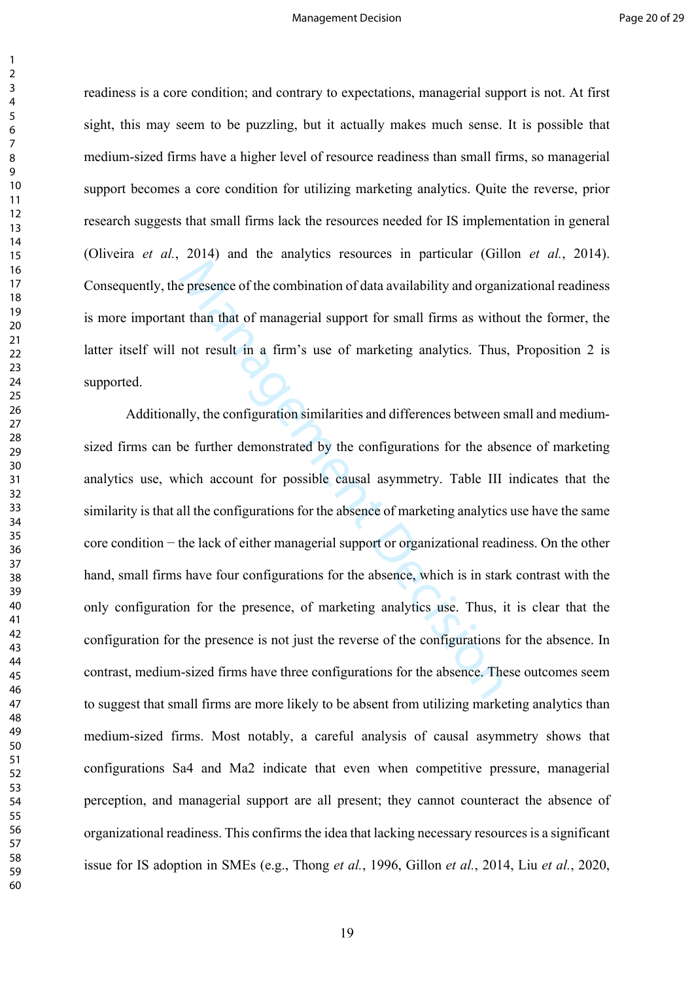$\mathbf{1}$ 

readiness is a core condition; and contrary to expectations, managerial support is not. At first sight, this may seem to be puzzling, but it actually makes much sense. It is possible that medium-sized firms have a higher level of resource readiness than small firms, so managerial support becomes a core condition for utilizing marketing analytics. Quite the reverse, prior research suggests that small firms lack the resources needed for IS implementation in general (Oliveira *et al.*, 2014) and the analytics resources in particular (Gillon *et al.*, 2014). Consequently, the presence of the combination of data availability and organizational readiness is more important than that of managerial support for small firms as without the former, the latter itself will not result in a firm's use of marketing analytics. Thus, Proposition 2 is supported.

e presence of the combination of data availability and organ<br>at than that of managerial support for small firms as with<br>not result in a firm's use of marketing analytics. Thus<br>not result in a firm's use of marketing analyt Additionally, the configuration similarities and differences between small and mediumsized firms can be further demonstrated by the configurations for the absence of marketing analytics use, which account for possible causal asymmetry. Table III indicates that the similarity is that all the configurations for the absence of marketing analytics use have the same core condition − the lack of either managerial support or organizational readiness. On the other hand, small firms have four configurations for the absence, which is in stark contrast with the only configuration for the presence, of marketing analytics use. Thus, it is clear that the configuration for the presence is not just the reverse of the configurations for the absence. In contrast, medium-sized firms have three configurations for the absence. These outcomes seem to suggest that small firms are more likely to be absent from utilizing marketing analytics than medium-sized firms. Most notably, a careful analysis of causal asymmetry shows that configurations Sa4 and Ma2 indicate that even when competitive pressure, managerial perception, and managerial support are all present; they cannot counteract the absence of organizational readiness. This confirms the idea that lacking necessary resources is a significant issue for IS adoption in SMEs (e.g., Thong *et al.*, 1996, Gillon *et al.*, 2014, Liu *et al.*, 2020,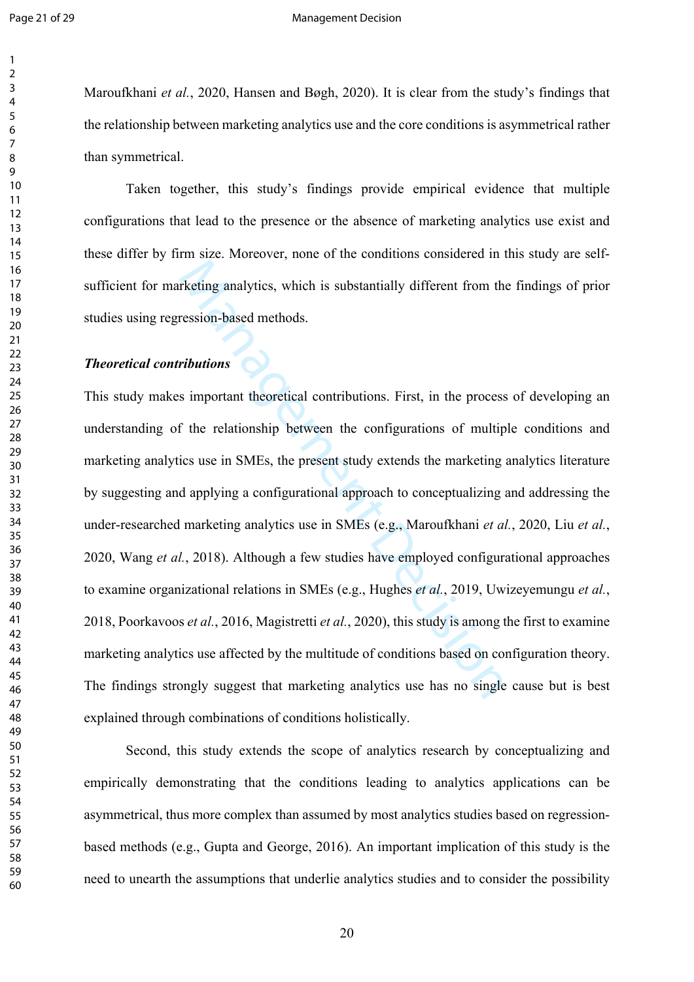#### Page 21 of 29 Management Decision

Maroufkhani *et al.*, 2020, Hansen and Bøgh, 2020). It is clear from the study's findings that the relationship between marketing analytics use and the core conditions is asymmetrical rather than symmetrical.

Taken together, this study's findings provide empirical evidence that multiple configurations that lead to the presence or the absence of marketing analytics use exist and these differ by firm size. Moreover, none of the conditions considered in this study are selfsufficient for marketing analytics, which is substantially different from the findings of prior studies using regression-based methods.

#### *Theoretical contributions*

rketing analytics, which is substantially different from th<br>ression-based methods.<br>interesting the resion-based methods.<br>Fibutions<br>s important theoretical contributions. First, in the process<br>f the relationship between th This study makes important theoretical contributions. First, in the process of developing an understanding of the relationship between the configurations of multiple conditions and marketing analytics use in SMEs, the present study extends the marketing analytics literature by suggesting and applying a configurational approach to conceptualizing and addressing the under-researched marketing analytics use in SMEs (e.g., Maroufkhani *et al.*, 2020, Liu *et al.*, 2020, Wang *et al.*, 2018). Although a few studies have employed configurational approaches to examine organizational relations in SMEs (e.g., Hughes *et al.*, 2019, Uwizeyemungu *et al.*, 2018, Poorkavoos *et al.*, 2016, Magistretti *et al.*, 2020), this study is among the first to examine marketing analytics use affected by the multitude of conditions based on configuration theory. The findings strongly suggest that marketing analytics use has no single cause but is best explained through combinations of conditions holistically.

Second, this study extends the scope of analytics research by conceptualizing and empirically demonstrating that the conditions leading to analytics applications can be asymmetrical, thus more complex than assumed by most analytics studies based on regressionbased methods (e.g., Gupta and George, 2016). An important implication of this study is the need to unearth the assumptions that underlie analytics studies and to consider the possibility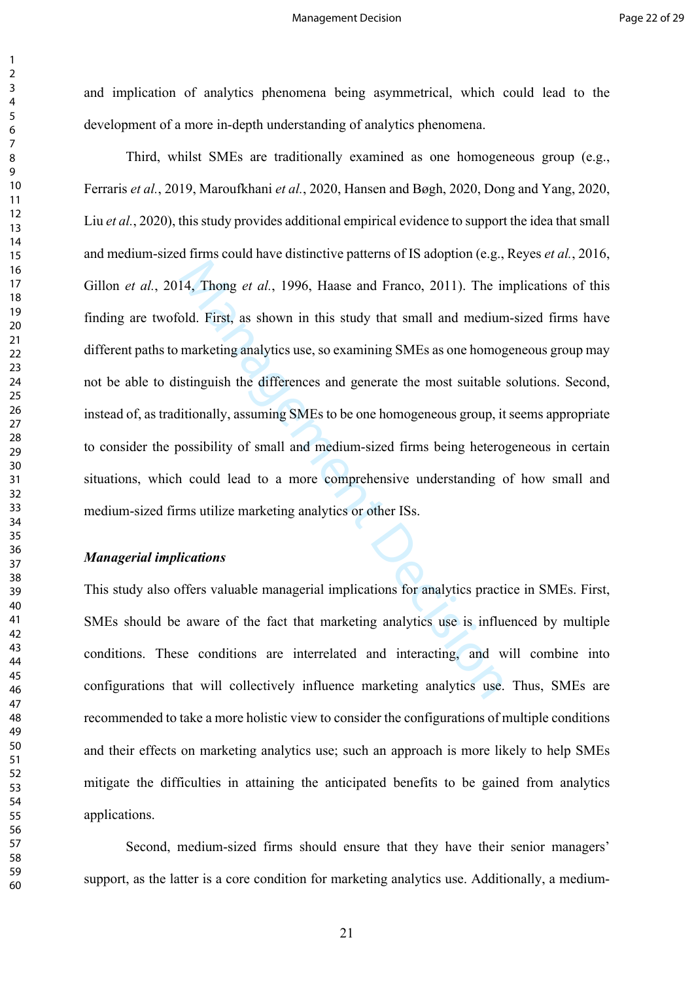and implication of analytics phenomena being asymmetrical, which could lead to the development of a more in-depth understanding of analytics phenomena.

14, Thong *et al.*, 1996, Haase and Franco, 2011). The in bold. First, as shown in this study that small and medium marketing analytics use, so examining SMEs as one homogetinguish the differences and generate the most su Third, whilst SMEs are traditionally examined as one homogeneous group (e.g., Ferraris *et al.*, 2019, Maroufkhani *et al.*, 2020, Hansen and Bøgh, 2020, Dong and Yang, 2020, Liu *et al.*, 2020), this study provides additional empirical evidence to support the idea that small and medium-sized firms could have distinctive patterns of IS adoption (e.g., Reyes *et al.*, 2016, Gillon *et al.*, 2014, Thong *et al.*, 1996, Haase and Franco, 2011). The implications of this finding are twofold. First, as shown in this study that small and medium-sized firms have different paths to marketing analytics use, so examining SMEs as one homogeneous group may not be able to distinguish the differences and generate the most suitable solutions. Second, instead of, as traditionally, assuming SMEs to be one homogeneous group, it seems appropriate to consider the possibility of small and medium-sized firms being heterogeneous in certain situations, which could lead to a more comprehensive understanding of how small and medium-sized firms utilize marketing analytics or other ISs.

#### *Managerial implications*

This study also offers valuable managerial implications for analytics practice in SMEs. First, SMEs should be aware of the fact that marketing analytics use is influenced by multiple conditions. These conditions are interrelated and interacting, and will combine into configurations that will collectively influence marketing analytics use. Thus, SMEs are recommended to take a more holistic view to consider the configurations of multiple conditions and their effects on marketing analytics use; such an approach is more likely to help SMEs mitigate the difficulties in attaining the anticipated benefits to be gained from analytics applications.

Second, medium-sized firms should ensure that they have their senior managers' support, as the latter is a core condition for marketing analytics use. Additionally, a medium-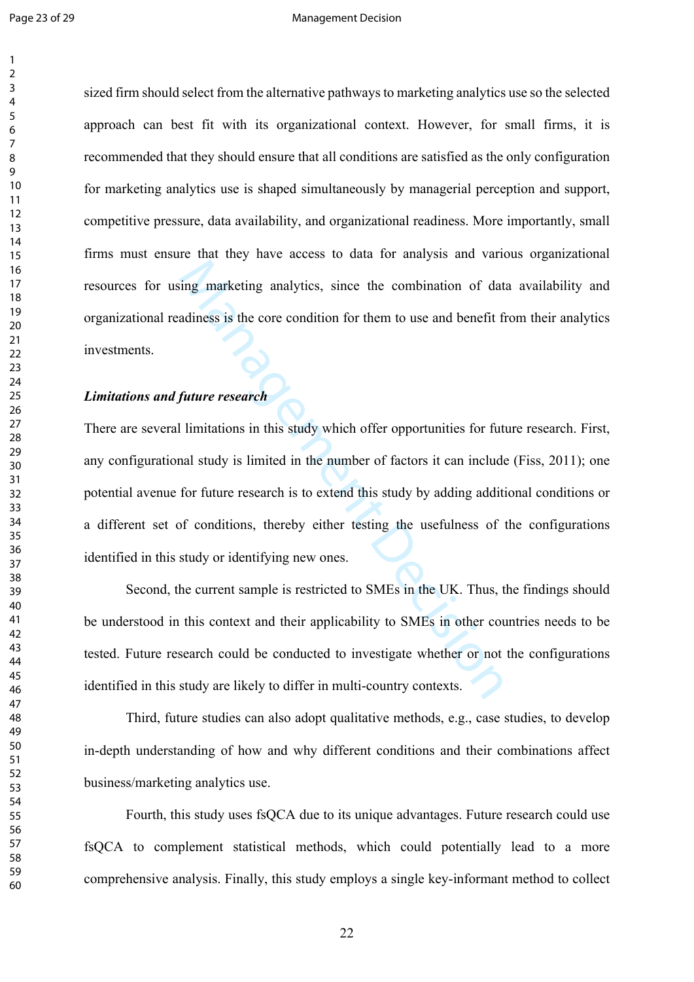$\mathbf{1}$ 

#### Page 23 of 29 Management Decision

sized firm should select from the alternative pathways to marketing analytics use so the selected approach can best fit with its organizational context. However, for small firms, it is recommended that they should ensure that all conditions are satisfied as the only configuration for marketing analytics use is shaped simultaneously by managerial perception and support, competitive pressure, data availability, and organizational readiness. More importantly, small firms must ensure that they have access to data for analysis and various organizational resources for using marketing analytics, since the combination of data availability and organizational readiness is the core condition for them to use and benefit from their analytics investments.

# *Limitations and future research*

The matter of state and the combination of data<br>
adiness is the core condition for them to use and benefit fi<br> **Adiness is the core condition for them to use and benefit fi<br>
fiture research**<br>
<br> **Combinations** in this study There are several limitations in this study which offer opportunities for future research. First, any configurational study is limited in the number of factors it can include (Fiss, 2011); one potential avenue for future research is to extend this study by adding additional conditions or a different set of conditions, thereby either testing the usefulness of the configurations identified in this study or identifying new ones.

Second, the current sample is restricted to SMEs in the UK. Thus, the findings should be understood in this context and their applicability to SMEs in other countries needs to be tested. Future research could be conducted to investigate whether or not the configurations identified in this study are likely to differ in multi-country contexts.

Third, future studies can also adopt qualitative methods, e.g., case studies, to develop in-depth understanding of how and why different conditions and their combinations affect business/marketing analytics use.

Fourth, this study uses fsQCA due to its unique advantages. Future research could use fsQCA to complement statistical methods, which could potentially lead to a more comprehensive analysis. Finally, this study employs a single key-informant method to collect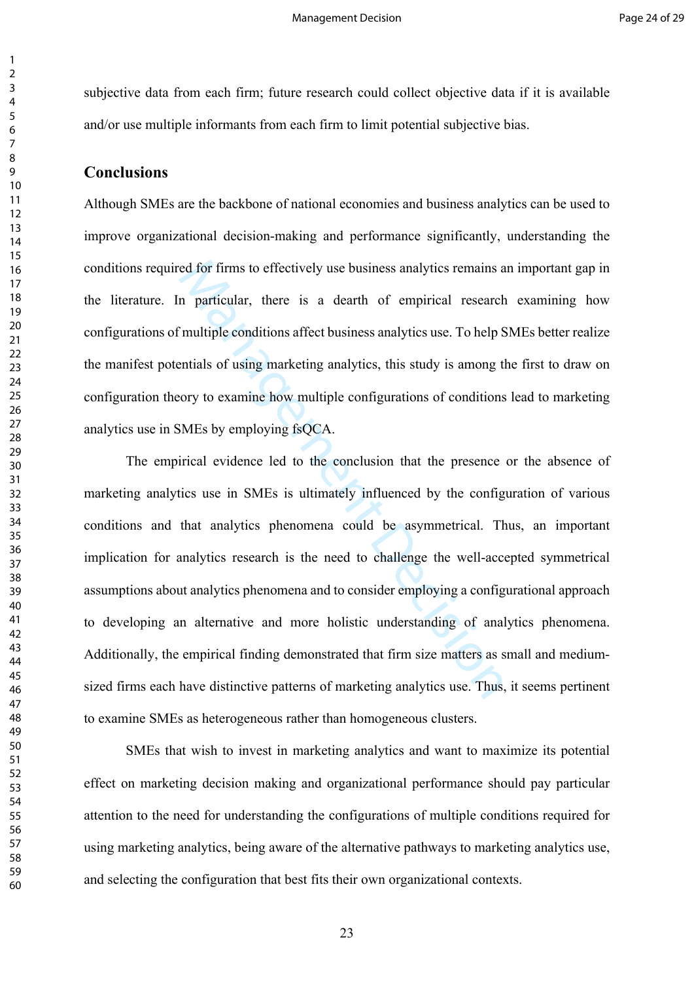subjective data from each firm; future research could collect objective data if it is available and/or use multiple informants from each firm to limit potential subjective bias.

# **Conclusions**

Although SMEs are the backbone of national economies and business analytics can be used to improve organizational decision-making and performance significantly, understanding the conditions required for firms to effectively use business analytics remains an important gap in the literature. In particular, there is a dearth of empirical research examining how configurations of multiple conditions affect business analytics use. To help SMEs better realize the manifest potentials of using marketing analytics, this study is among the first to draw on configuration theory to examine how multiple configurations of conditions lead to marketing analytics use in SMEs by employing fsQCA.

ed for firms to effectively use business analytics remains an<br>
n particular, there is a dearth of empirical research<br>
multiple conditions affect business analytics use. To help S<br>
entials of using marketing analytics, this The empirical evidence led to the conclusion that the presence or the absence of marketing analytics use in SMEs is ultimately influenced by the configuration of various conditions and that analytics phenomena could be asymmetrical. Thus, an important implication for analytics research is the need to challenge the well-accepted symmetrical assumptions about analytics phenomena and to consider employing a configurational approach to developing an alternative and more holistic understanding of analytics phenomena. Additionally, the empirical finding demonstrated that firm size matters as small and mediumsized firms each have distinctive patterns of marketing analytics use. Thus, it seems pertinent to examine SMEs as heterogeneous rather than homogeneous clusters.

SMEs that wish to invest in marketing analytics and want to maximize its potential effect on marketing decision making and organizational performance should pay particular attention to the need for understanding the configurations of multiple conditions required for using marketing analytics, being aware of the alternative pathways to marketing analytics use, and selecting the configuration that best fits their own organizational contexts.

 $\mathbf{1}$  $\overline{2}$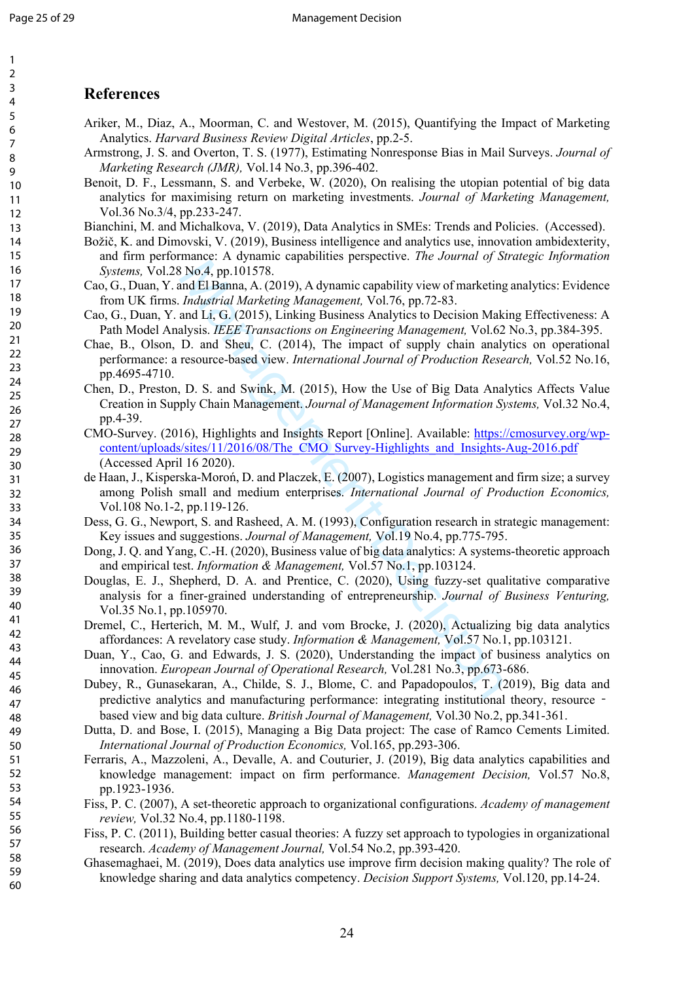# **References**

- Ariker, M., Diaz, A., Moorman, C. and Westover, M. (2015), Quantifying the Impact of Marketing Analytics. *Harvard Business Review Digital Articles*, pp.2-5.
- Armstrong, J. S. and Overton, T. S. (1977), Estimating Nonresponse Bias in Mail Surveys. *Journal of Marketing Research (JMR),* Vol.14 No.3, pp.396-402.
- Benoit, D. F., Lessmann, S. and Verbeke, W. (2020), On realising the utopian potential of big data analytics for maximising return on marketing investments. *Journal of Marketing Management,* Vol.36 No.3/4, pp.233-247.
- Bianchini, M. and Michalkova, V. (2019), Data Analytics in SMEs: Trends and Policies. (Accessed).
- Božič, K. and Dimovski, V. (2019), Business intelligence and analytics use, innovation ambidexterity, and firm performance: A dynamic capabilities perspective. *The Journal of Strategic Information Systems,* Vol.28 No.4, pp.101578.
- Cao, G., Duan, Y. and El Banna, A. (2019), A dynamic capability view of marketing analytics: Evidence from UK firms. *Industrial Marketing Management,* Vol.76, pp.72-83.
- Cao, G., Duan, Y. and Li, G. (2015), Linking Business Analytics to Decision Making Effectiveness: A Path Model Analysis. *IEEE Transactions on Engineering Management,* Vol.62 No.3, pp.384-395.
- Finance. The Valuarity approach in the NoA Applied No. No.4, pp.101578.<br>
No.4, pp.101578.<br>
Indefining Management, Vol.76, pp.72-83.<br>
Indefining Management, Vol.76, pp.72-83.<br>
Industrial Marketing Management, Vol.62, pp.72 Chae, B., Olson, D. and Sheu, C. (2014), The impact of supply chain analytics on operational performance: a resource-based view. *International Journal of Production Research,* Vol.52 No.16, pp.4695-4710.
- Chen, D., Preston, D. S. and Swink, M. (2015), How the Use of Big Data Analytics Affects Value Creation in Supply Chain Management. *Journal of Management Information Systems,* Vol.32 No.4, pp.4-39.
- CMO-Survey. (2016), Highlights and Insights Report [Online]. Available: https://cmosurvey.org/wpcontent/uploads/sites/11/2016/08/The\_CMO\_Survey-Highlights\_and\_Insights-Aug-2016.pdf (Accessed April 16 2020).
- de Haan, J., Kisperska-Moroń, D. and Placzek, E. (2007), Logistics management and firm size; a survey among Polish small and medium enterprises. *International Journal of Production Economics,* Vol.108 No.1-2, pp.119-126.
- Dess, G. G., Newport, S. and Rasheed, A. M. (1993), Configuration research in strategic management: Key issues and suggestions. *Journal of Management,* Vol.19 No.4, pp.775-795.
- Dong, J. Q. and Yang, C.-H. (2020), Business value of big data analytics: A systems-theoretic approach and empirical test. *Information & Management,* Vol.57 No.1, pp.103124.
- Douglas, E. J., Shepherd, D. A. and Prentice, C. (2020), Using fuzzy-set qualitative comparative analysis for a finer-grained understanding of entrepreneurship. *Journal of Business Venturing,* Vol.35 No.1, pp.105970.
- Dremel, C., Herterich, M. M., Wulf, J. and vom Brocke, J. (2020), Actualizing big data analytics affordances: A revelatory case study. *Information & Management,* Vol.57 No.1, pp.103121.
- Duan, Y., Cao, G. and Edwards, J. S. (2020), Understanding the impact of business analytics on innovation. *European Journal of Operational Research,* Vol.281 No.3, pp.673-686.
- Dubey, R., Gunasekaran, A., Childe, S. J., Blome, C. and Papadopoulos, T. (2019), Big data and predictive analytics and manufacturing performance: integrating institutional theory, resource based view and big data culture. *British Journal of Management,* Vol.30 No.2, pp.341-361.
- Dutta, D. and Bose, I. (2015), Managing a Big Data project: The case of Ramco Cements Limited. *International Journal of Production Economics,* Vol.165, pp.293-306.
- Ferraris, A., Mazzoleni, A., Devalle, A. and Couturier, J. (2019), Big data analytics capabilities and knowledge management: impact on firm performance. *Management Decision,* Vol.57 No.8, pp.1923-1936.
- Fiss, P. C. (2007), A set-theoretic approach to organizational configurations. *Academy of management review,* Vol.32 No.4, pp.1180-1198.
- Fiss, P. C. (2011), Building better casual theories: A fuzzy set approach to typologies in organizational research. *Academy of Management Journal,* Vol.54 No.2, pp.393-420.
- Ghasemaghaei, M. (2019), Does data analytics use improve firm decision making quality? The role of knowledge sharing and data analytics competency. *Decision Support Systems,* Vol.120, pp.14-24.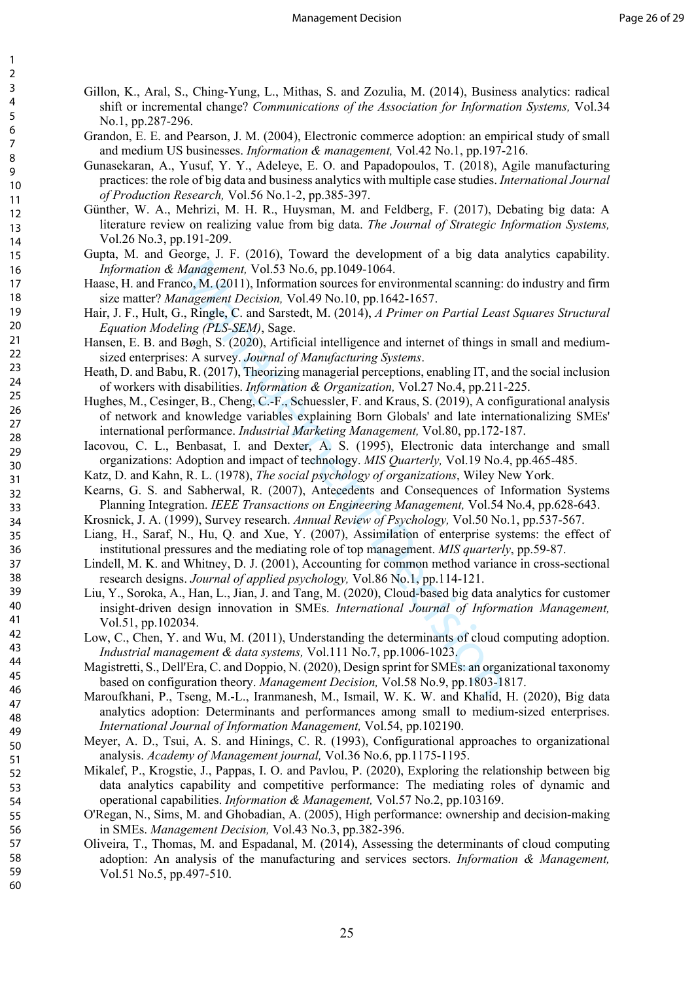- Gillon, K., Aral, S., Ching-Yung, L., Mithas, S. and Zozulia, M. (2014), Business analytics: radical shift or incremental change? *Communications of the Association for Information Systems,* Vol.34 No.1, pp.287-296.
- Grandon, E. E. and Pearson, J. M. (2004), Electronic commerce adoption: an empirical study of small and medium US businesses. *Information & management,* Vol.42 No.1, pp.197-216.
- Gunasekaran, A., Yusuf, Y. Y., Adeleye, E. O. and Papadopoulos, T. (2018), Agile manufacturing practices: the role of big data and business analytics with multiple case studies. *International Journal of Production Research,* Vol.56 No.1-2, pp.385-397.
- Günther, W. A., Mehrizi, M. H. R., Huysman, M. and Feldberg, F. (2017), Debating big data: A literature review on realizing value from big data. *The Journal of Strategic Information Systems,* Vol.26 No.3, pp.191-209.
- Gupta, M. and George, J. F. (2016), Toward the development of a big data analytics capability. *Information & Management,* Vol.53 No.6, pp.1049-1064.
- Haase, H. and Franco, M. (2011), Information sources for environmental scanning: do industry and firm size matter? *Management Decision,* Vol.49 No.10, pp.1642-1657.
- Hair, J. F., Hult, G., Ringle, C. and Sarstedt, M. (2014), *A Primer on Partial Least Squares Structural Equation Modeling (PLS-SEM)*, Sage.
- Hansen, E. B. and Bøgh, S. (2020), Artificial intelligence and internet of things in small and mediumsized enterprises: A survey. *Journal of Manufacturing Systems*.
- Heath, D. and Babu, R. (2017), Theorizing managerial perceptions, enabling IT, and the social inclusion of workers with disabilities. *Information & Organization,* Vol.27 No.4, pp.211-225.
- Hughes, M., Cesinger, B., Cheng, C.-F., Schuessler, F. and Kraus, S. (2019), A configurational analysis of network and knowledge variables explaining Born Globals' and late internationalizing SMEs' international performance. *Industrial Marketing Management,* Vol.80, pp.172-187.
- Iacovou, C. L., Benbasat, I. and Dexter, A. S. (1995), Electronic data interchange and small organizations: Adoption and impact of technology. *MIS Quarterly,* Vol.19 No.4, pp.465-485.
- Katz, D. and Kahn, R. L. (1978), *The social psychology of organizations*, Wiley New York.
- Kearns, G. S. and Sabherwal, R. (2007), Antecedents and Consequences of Information Systems Planning Integration. *IEEE Transactions on Engineering Management,* Vol.54 No.4, pp.628-643.
- Krosnick, J. A. (1999), Survey research. *Annual Review of Psychology,* Vol.50 No.1, pp.537-567.
- Liang, H., Saraf, N., Hu, Q. and Xue, Y. (2007), Assimilation of enterprise systems: the effect of institutional pressures and the mediating role of top management. *MIS quarterly*, pp.59-87.
- Lindell, M. K. and Whitney, D. J. (2001), Accounting for common method variance in cross-sectional research designs. *Journal of applied psychology,* Vol.86 No.1, pp.114-121.
- *Management, Vol.53 No.6, pp.1049-1064.*<br> *Management, Vol.53 No.6, pp.1049-1064.*<br> *Co. M. (2011), Information sources for environmental scanning:*<br> *maggement Decision, Vol.49 No.10, pp.1642-1657.*<br> *G, Ringle, C. and S* Liu, Y., Soroka, A., Han, L., Jian, J. and Tang, M. (2020), Cloud-based big data analytics for customer insight-driven design innovation in SMEs. *International Journal of Information Management,* Vol.51, pp.102034.
- Low, C., Chen, Y. and Wu, M. (2011), Understanding the determinants of cloud computing adoption. *Industrial management & data systems,* Vol.111 No.7, pp.1006-1023.
- Magistretti, S., Dell'Era, C. and Doppio, N. (2020), Design sprint for SMEs: an organizational taxonomy based on configuration theory. *Management Decision,* Vol.58 No.9, pp.1803-1817.
- Maroufkhani, P., Tseng, M.-L., Iranmanesh, M., Ismail, W. K. W. and Khalid, H. (2020), Big data analytics adoption: Determinants and performances among small to medium-sized enterprises. *International Journal of Information Management,* Vol.54, pp.102190.
- Meyer, A. D., Tsui, A. S. and Hinings, C. R. (1993), Configurational approaches to organizational analysis. *Academy of Management journal,* Vol.36 No.6, pp.1175-1195.
- Mikalef, P., Krogstie, J., Pappas, I. O. and Pavlou, P. (2020), Exploring the relationship between big data analytics capability and competitive performance: The mediating roles of dynamic and operational capabilities. *Information & Management,* Vol.57 No.2, pp.103169.
- O'Regan, N., Sims, M. and Ghobadian, A. (2005), High performance: ownership and decision-making in SMEs. *Management Decision,* Vol.43 No.3, pp.382-396.
- Oliveira, T., Thomas, M. and Espadanal, M. (2014), Assessing the determinants of cloud computing adoption: An analysis of the manufacturing and services sectors. *Information & Management,* Vol.51 No.5, pp.497-510.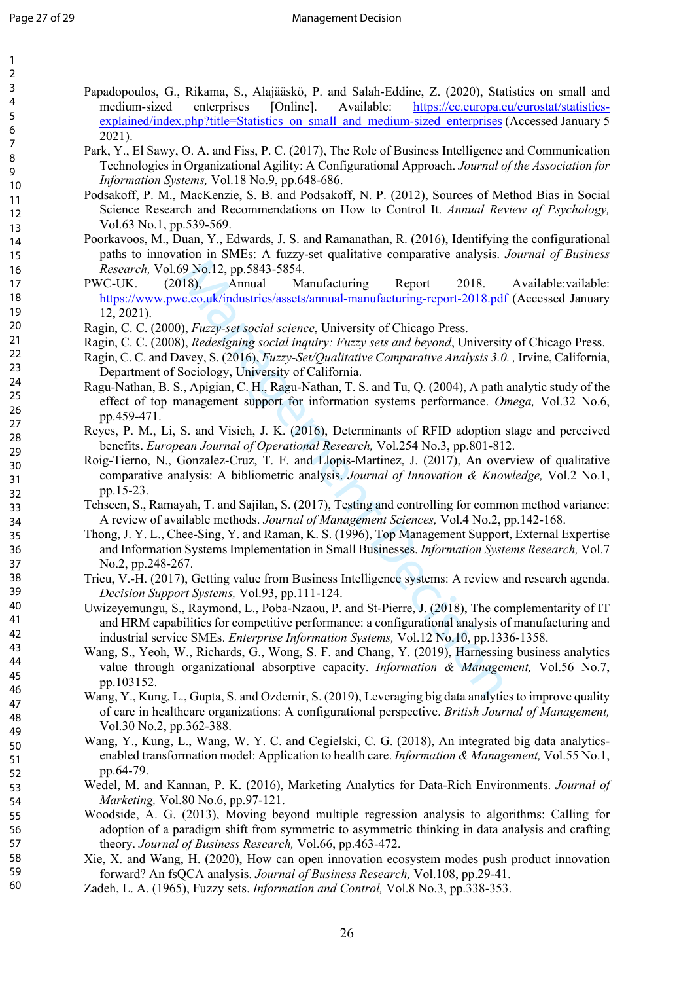| 1                                         |
|-------------------------------------------|
| 2                                         |
| 3                                         |
| 4                                         |
| 5                                         |
| 6                                         |
| 7                                         |
| 8                                         |
| 9                                         |
| 10                                        |
| 1<br>1                                    |
| 1<br>$\overline{c}$                       |
| 13                                        |
| 4<br>1                                    |
| 15                                        |
| 16                                        |
| 1<br>7                                    |
| 18                                        |
| 19                                        |
| 20                                        |
| $\overline{21}$                           |
|                                           |
| $\overline{2}$<br>2                       |
| 23                                        |
| $\overline{24}$                           |
| 25                                        |
| 26                                        |
| 27                                        |
| 28                                        |
| 29                                        |
| 30                                        |
| $\overline{31}$                           |
| $\overline{c}$<br>$\overline{\mathbf{3}}$ |
| 33                                        |
| 34                                        |
| 35                                        |
| 36                                        |
|                                           |
| 37                                        |
| 88                                        |
| 39                                        |
| 40                                        |
| 41                                        |
| 4<br><sup>2</sup>                         |
| 43                                        |
| 44                                        |
| 45                                        |
| 46                                        |
| 47                                        |
| 48                                        |
| 49                                        |
| 50                                        |
| 51                                        |
| 5<br><sup>2</sup>                         |
| 53                                        |
|                                           |
| 54                                        |
| 55                                        |
| 56                                        |
| 57                                        |
| 58                                        |
| 59                                        |

- Papadopoulos, G., Rikama, S., Alajääskö, P. and Salah-Eddine, Z. (2020), Statistics on small and medium-sized enterprises [Online]. Available: https://ec.europa.eu/eurostat/statisticsexplained/index.php?title=Statistics\_on\_small\_and\_medium-sized\_enterprises (Accessed January 5  $2021$ ).
	- Park, Y., El Sawy, O. A. and Fiss, P. C. (2017), The Role of Business Intelligence and Communication Technologies in Organizational Agility: A Configurational Approach. *Journal of the Association for Information Systems,* Vol.18 No.9, pp.648-686.
	- Podsakoff, P. M., MacKenzie, S. B. and Podsakoff, N. P. (2012), Sources of Method Bias in Social Science Research and Recommendations on How to Control It. *Annual Review of Psychology,* Vol.63 No.1, pp.539-569.
- Poorkavoos, M., Duan, Y., Edwards, J. S. and Ramanathan, R. (2016), Identifying the configurational paths to innovation in SMEs: A fuzzy-set qualitative comparative analysis. *Journal of Business Research,* Vol.69 No.12, pp.5843-5854.
- 39 No.12, pp.5843-5854.<br>
Manual Manufacturing Report 2018.<br>
<u>C.c.o.uk/industries/assets/annual-manufacturing-report-2018.pdf</u><br>
(C.c.o.uk/industries/assets/annual-manufacturing-report-2018.pdf<br>
(D.c. Fig. 2016), Fuzzy-set PWC-UK. (2018), Annual Manufacturing Report 2018. Available: vailable: https://www.pwc.co.uk/industries/assets/annual-manufacturing-report-2018.pdf (Accessed January 12, 2021).
- Ragin, C. C. (2000), *Fuzzy-set social science*, University of Chicago Press.
- Ragin, C. C. (2008), *Redesigning social inquiry: Fuzzy sets and beyond*, University of Chicago Press.
- Ragin, C. C. and Davey, S. (2016), *Fuzzy-Set/Qualitative Comparative Analysis 3.0. ,* Irvine, California, Department of Sociology, University of California.
- Ragu-Nathan, B. S., Apigian, C. H., Ragu-Nathan, T. S. and Tu, Q. (2004), A path analytic study of the effect of top management support for information systems performance. *Omega,* Vol.32 No.6, pp.459-471.
- Reyes, P. M., Li, S. and Visich, J. K. (2016), Determinants of RFID adoption stage and perceived benefits. *European Journal of Operational Research,* Vol.254 No.3, pp.801-812.
- Roig-Tierno, N., Gonzalez-Cruz, T. F. and Llopis-Martinez, J. (2017), An overview of qualitative comparative analysis: A bibliometric analysis. *Journal of Innovation & Knowledge,* Vol.2 No.1, pp.15-23.
- Tehseen, S., Ramayah, T. and Sajilan, S. (2017), Testing and controlling for common method variance: A review of available methods. *Journal of Management Sciences,* Vol.4 No.2, pp.142-168.
- Thong, J. Y. L., Chee-Sing, Y. and Raman, K. S. (1996), Top Management Support, External Expertise and Information Systems Implementation in Small Businesses. *Information Systems Research,* Vol.7 No.2, pp.248-267.
- Trieu, V.-H. (2017), Getting value from Business Intelligence systems: A review and research agenda. *Decision Support Systems,* Vol.93, pp.111-124.
- Uwizeyemungu, S., Raymond, L., Poba-Nzaou, P. and St-Pierre, J. (2018), The complementarity of IT and HRM capabilities for competitive performance: a configurational analysis of manufacturing and industrial service SMEs. *Enterprise Information Systems,* Vol.12 No.10, pp.1336-1358.
- Wang, S., Yeoh, W., Richards, G., Wong, S. F. and Chang, Y. (2019), Harnessing business analytics value through organizational absorptive capacity. *Information & Management,* Vol.56 No.7, pp.103152.
- Wang, Y., Kung, L., Gupta, S. and Ozdemir, S. (2019), Leveraging big data analytics to improve quality of care in healthcare organizations: A configurational perspective. *British Journal of Management,* Vol.30 No.2, pp.362-388.
- Wang, Y., Kung, L., Wang, W. Y. C. and Cegielski, C. G. (2018), An integrated big data analyticsenabled transformation model: Application to health care. *Information & Management,* Vol.55 No.1, pp.64-79.
- Wedel, M. and Kannan, P. K. (2016), Marketing Analytics for Data-Rich Environments. *Journal of Marketing,* Vol.80 No.6, pp.97-121.
- Woodside, A. G. (2013), Moving beyond multiple regression analysis to algorithms: Calling for adoption of a paradigm shift from symmetric to asymmetric thinking in data analysis and crafting theory. *Journal of Business Research,* Vol.66, pp.463-472.
- Xie, X. and Wang, H. (2020), How can open innovation ecosystem modes push product innovation forward? An fsQCA analysis. *Journal of Business Research,* Vol.108, pp.29-41.
- Zadeh, L. A. (1965), Fuzzy sets. *Information and Control,* Vol.8 No.3, pp.338-353.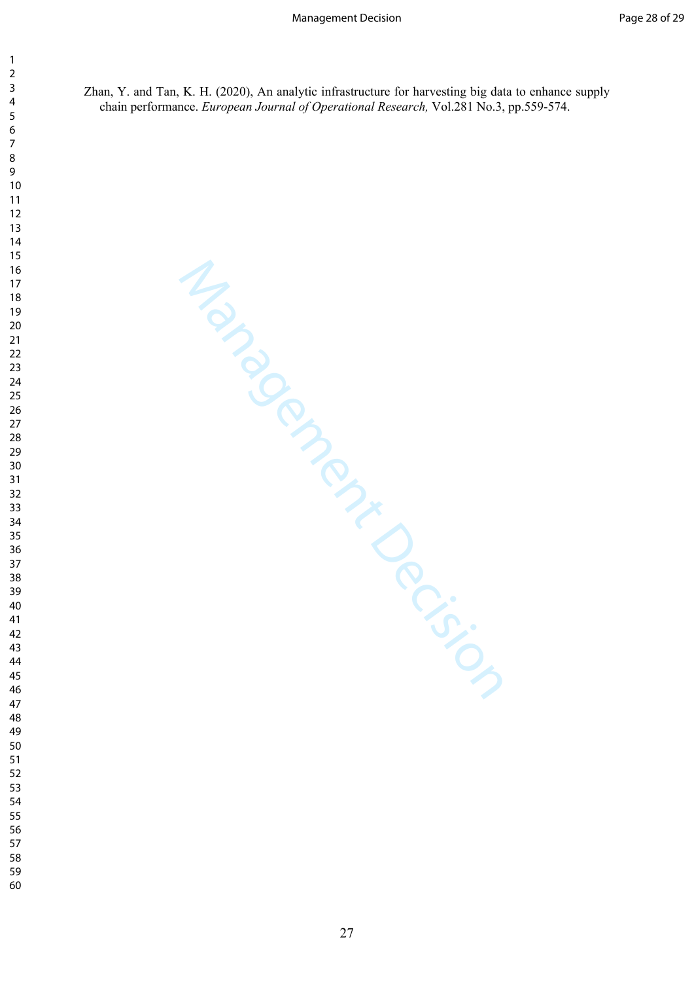Zhan, Y. and Tan, K. H. (2020), An analytic infrastructure for harvesting big data to enhance supply chain performance. *European Journal of Operational Research,* Vol.281 No.3, pp.559-574.

Management Decision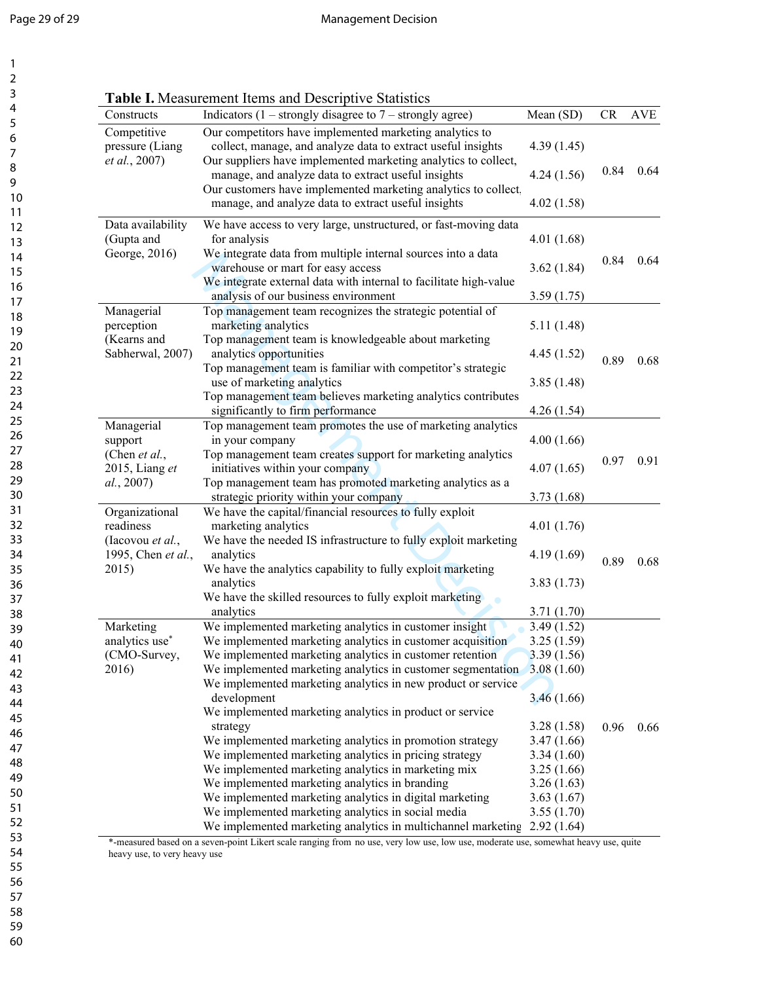| 1                              |  |
|--------------------------------|--|
| <b>)</b>                       |  |
| 3                              |  |
| 4                              |  |
| 5                              |  |
| 6                              |  |
|                                |  |
| 8                              |  |
| )<br>ι                         |  |
| 10                             |  |
|                                |  |
| $\mathbf{1}$<br>1              |  |
| 1<br>フ                         |  |
| 13                             |  |
| 4<br>1                         |  |
| 15                             |  |
| 16                             |  |
| 17                             |  |
| 18                             |  |
| 19                             |  |
| 20                             |  |
| $\overline{21}$                |  |
| $\overline{2}$<br><sup>)</sup> |  |
| $\overline{2}$<br>ξ            |  |
| 24                             |  |
| 25                             |  |
|                                |  |
| 26                             |  |
| 27                             |  |
| 28                             |  |
| 29                             |  |
| 30                             |  |
| $\overline{\mathbf{3}}$        |  |
| $\overline{\mathbf{S}}$<br>᠈   |  |
| $\overline{\mathbf{3}}$<br>ξ   |  |
| $\frac{34}{3}$                 |  |
| 35                             |  |
| 36                             |  |
| 37                             |  |
| 88                             |  |
|                                |  |
| 39                             |  |
| 40                             |  |
| 41                             |  |
| 42                             |  |
| 43                             |  |
| 44                             |  |
| 45                             |  |
| 46                             |  |
| 47                             |  |
| 48                             |  |
| 49                             |  |
| 50                             |  |
| 51                             |  |
| 5<br>フ                         |  |
|                                |  |
| 53                             |  |
| 54                             |  |
| 55                             |  |
| 56                             |  |
| 57                             |  |
| 58                             |  |
| 59                             |  |
| 60                             |  |

| Our competitors have implemented marketing analytics to<br>collect, manage, and analyze data to extract useful insights<br>Our suppliers have implemented marketing analytics to collect,<br>manage, and analyze data to extract useful insights<br>Our customers have implemented marketing analytics to collect.<br>manage, and analyze data to extract useful insights<br>We have access to very large, unstructured, or fast-moving data<br>for analysis<br>We integrate data from multiple internal sources into a data<br>warehouse or mart for easy access<br>We integrate external data with internal to facilitate high-value<br>analysis of our business environment<br>Top management team recognizes the strategic potential of<br>marketing analytics<br>Top management team is knowledgeable about marketing | 4.39(1.45)<br>4.24(1.56)<br>4.02(1.58)<br>4.01(1.68)<br>3.62(1.84)<br>3.59(1.75)<br>5.11 (1.48)                                                                                                                                                                                                                                                                                                                                                                                                                                                                                                                                                                                                                                                                                                                                                                                                                                                                                                                                                                                              | 0.84<br>0.84                                                                                                                                                                                                                                                                                                                                                        |              |  |
|----------------------------------------------------------------------------------------------------------------------------------------------------------------------------------------------------------------------------------------------------------------------------------------------------------------------------------------------------------------------------------------------------------------------------------------------------------------------------------------------------------------------------------------------------------------------------------------------------------------------------------------------------------------------------------------------------------------------------------------------------------------------------------------------------------------------------|----------------------------------------------------------------------------------------------------------------------------------------------------------------------------------------------------------------------------------------------------------------------------------------------------------------------------------------------------------------------------------------------------------------------------------------------------------------------------------------------------------------------------------------------------------------------------------------------------------------------------------------------------------------------------------------------------------------------------------------------------------------------------------------------------------------------------------------------------------------------------------------------------------------------------------------------------------------------------------------------------------------------------------------------------------------------------------------------|---------------------------------------------------------------------------------------------------------------------------------------------------------------------------------------------------------------------------------------------------------------------------------------------------------------------------------------------------------------------|--------------|--|
|                                                                                                                                                                                                                                                                                                                                                                                                                                                                                                                                                                                                                                                                                                                                                                                                                            |                                                                                                                                                                                                                                                                                                                                                                                                                                                                                                                                                                                                                                                                                                                                                                                                                                                                                                                                                                                                                                                                                              |                                                                                                                                                                                                                                                                                                                                                                     | 0.64<br>0.64 |  |
|                                                                                                                                                                                                                                                                                                                                                                                                                                                                                                                                                                                                                                                                                                                                                                                                                            |                                                                                                                                                                                                                                                                                                                                                                                                                                                                                                                                                                                                                                                                                                                                                                                                                                                                                                                                                                                                                                                                                              |                                                                                                                                                                                                                                                                                                                                                                     |              |  |
|                                                                                                                                                                                                                                                                                                                                                                                                                                                                                                                                                                                                                                                                                                                                                                                                                            |                                                                                                                                                                                                                                                                                                                                                                                                                                                                                                                                                                                                                                                                                                                                                                                                                                                                                                                                                                                                                                                                                              |                                                                                                                                                                                                                                                                                                                                                                     |              |  |
|                                                                                                                                                                                                                                                                                                                                                                                                                                                                                                                                                                                                                                                                                                                                                                                                                            |                                                                                                                                                                                                                                                                                                                                                                                                                                                                                                                                                                                                                                                                                                                                                                                                                                                                                                                                                                                                                                                                                              |                                                                                                                                                                                                                                                                                                                                                                     |              |  |
|                                                                                                                                                                                                                                                                                                                                                                                                                                                                                                                                                                                                                                                                                                                                                                                                                            |                                                                                                                                                                                                                                                                                                                                                                                                                                                                                                                                                                                                                                                                                                                                                                                                                                                                                                                                                                                                                                                                                              |                                                                                                                                                                                                                                                                                                                                                                     |              |  |
|                                                                                                                                                                                                                                                                                                                                                                                                                                                                                                                                                                                                                                                                                                                                                                                                                            |                                                                                                                                                                                                                                                                                                                                                                                                                                                                                                                                                                                                                                                                                                                                                                                                                                                                                                                                                                                                                                                                                              |                                                                                                                                                                                                                                                                                                                                                                     |              |  |
|                                                                                                                                                                                                                                                                                                                                                                                                                                                                                                                                                                                                                                                                                                                                                                                                                            |                                                                                                                                                                                                                                                                                                                                                                                                                                                                                                                                                                                                                                                                                                                                                                                                                                                                                                                                                                                                                                                                                              |                                                                                                                                                                                                                                                                                                                                                                     |              |  |
| analytics opportunities                                                                                                                                                                                                                                                                                                                                                                                                                                                                                                                                                                                                                                                                                                                                                                                                    | 4.45(1.52)                                                                                                                                                                                                                                                                                                                                                                                                                                                                                                                                                                                                                                                                                                                                                                                                                                                                                                                                                                                                                                                                                   | 0.89                                                                                                                                                                                                                                                                                                                                                                | 0.68         |  |
| use of marketing analytics                                                                                                                                                                                                                                                                                                                                                                                                                                                                                                                                                                                                                                                                                                                                                                                                 | 3.85(1.48)                                                                                                                                                                                                                                                                                                                                                                                                                                                                                                                                                                                                                                                                                                                                                                                                                                                                                                                                                                                                                                                                                   |                                                                                                                                                                                                                                                                                                                                                                     |              |  |
| significantly to firm performance                                                                                                                                                                                                                                                                                                                                                                                                                                                                                                                                                                                                                                                                                                                                                                                          | 4.26(1.54)                                                                                                                                                                                                                                                                                                                                                                                                                                                                                                                                                                                                                                                                                                                                                                                                                                                                                                                                                                                                                                                                                   |                                                                                                                                                                                                                                                                                                                                                                     |              |  |
| in your company                                                                                                                                                                                                                                                                                                                                                                                                                                                                                                                                                                                                                                                                                                                                                                                                            | 4.00(1.66)                                                                                                                                                                                                                                                                                                                                                                                                                                                                                                                                                                                                                                                                                                                                                                                                                                                                                                                                                                                                                                                                                   |                                                                                                                                                                                                                                                                                                                                                                     |              |  |
| initiatives within your company                                                                                                                                                                                                                                                                                                                                                                                                                                                                                                                                                                                                                                                                                                                                                                                            | 4.07(1.65)                                                                                                                                                                                                                                                                                                                                                                                                                                                                                                                                                                                                                                                                                                                                                                                                                                                                                                                                                                                                                                                                                   | 0.97                                                                                                                                                                                                                                                                                                                                                                | 0.91         |  |
|                                                                                                                                                                                                                                                                                                                                                                                                                                                                                                                                                                                                                                                                                                                                                                                                                            |                                                                                                                                                                                                                                                                                                                                                                                                                                                                                                                                                                                                                                                                                                                                                                                                                                                                                                                                                                                                                                                                                              |                                                                                                                                                                                                                                                                                                                                                                     |              |  |
| We have the capital/financial resources to fully exploit                                                                                                                                                                                                                                                                                                                                                                                                                                                                                                                                                                                                                                                                                                                                                                   |                                                                                                                                                                                                                                                                                                                                                                                                                                                                                                                                                                                                                                                                                                                                                                                                                                                                                                                                                                                                                                                                                              |                                                                                                                                                                                                                                                                                                                                                                     |              |  |
|                                                                                                                                                                                                                                                                                                                                                                                                                                                                                                                                                                                                                                                                                                                                                                                                                            | 4.01(1.76)                                                                                                                                                                                                                                                                                                                                                                                                                                                                                                                                                                                                                                                                                                                                                                                                                                                                                                                                                                                                                                                                                   |                                                                                                                                                                                                                                                                                                                                                                     |              |  |
| analytics                                                                                                                                                                                                                                                                                                                                                                                                                                                                                                                                                                                                                                                                                                                                                                                                                  | 4.19(1.69)                                                                                                                                                                                                                                                                                                                                                                                                                                                                                                                                                                                                                                                                                                                                                                                                                                                                                                                                                                                                                                                                                   | 0.89                                                                                                                                                                                                                                                                                                                                                                | 0.68         |  |
| analytics                                                                                                                                                                                                                                                                                                                                                                                                                                                                                                                                                                                                                                                                                                                                                                                                                  | 3.83(1.73)                                                                                                                                                                                                                                                                                                                                                                                                                                                                                                                                                                                                                                                                                                                                                                                                                                                                                                                                                                                                                                                                                   |                                                                                                                                                                                                                                                                                                                                                                     |              |  |
|                                                                                                                                                                                                                                                                                                                                                                                                                                                                                                                                                                                                                                                                                                                                                                                                                            |                                                                                                                                                                                                                                                                                                                                                                                                                                                                                                                                                                                                                                                                                                                                                                                                                                                                                                                                                                                                                                                                                              |                                                                                                                                                                                                                                                                                                                                                                     |              |  |
| We implemented marketing analytics in customer insight                                                                                                                                                                                                                                                                                                                                                                                                                                                                                                                                                                                                                                                                                                                                                                     | 3.49(1.52)                                                                                                                                                                                                                                                                                                                                                                                                                                                                                                                                                                                                                                                                                                                                                                                                                                                                                                                                                                                                                                                                                   |                                                                                                                                                                                                                                                                                                                                                                     |              |  |
| We implemented marketing analytics in customer acquisition                                                                                                                                                                                                                                                                                                                                                                                                                                                                                                                                                                                                                                                                                                                                                                 | 3.25(1.59)                                                                                                                                                                                                                                                                                                                                                                                                                                                                                                                                                                                                                                                                                                                                                                                                                                                                                                                                                                                                                                                                                   |                                                                                                                                                                                                                                                                                                                                                                     |              |  |
|                                                                                                                                                                                                                                                                                                                                                                                                                                                                                                                                                                                                                                                                                                                                                                                                                            |                                                                                                                                                                                                                                                                                                                                                                                                                                                                                                                                                                                                                                                                                                                                                                                                                                                                                                                                                                                                                                                                                              |                                                                                                                                                                                                                                                                                                                                                                     |              |  |
| We implemented marketing analytics in new product or service                                                                                                                                                                                                                                                                                                                                                                                                                                                                                                                                                                                                                                                                                                                                                               |                                                                                                                                                                                                                                                                                                                                                                                                                                                                                                                                                                                                                                                                                                                                                                                                                                                                                                                                                                                                                                                                                              |                                                                                                                                                                                                                                                                                                                                                                     |              |  |
| We implemented marketing analytics in product or service                                                                                                                                                                                                                                                                                                                                                                                                                                                                                                                                                                                                                                                                                                                                                                   |                                                                                                                                                                                                                                                                                                                                                                                                                                                                                                                                                                                                                                                                                                                                                                                                                                                                                                                                                                                                                                                                                              |                                                                                                                                                                                                                                                                                                                                                                     |              |  |
| strategy                                                                                                                                                                                                                                                                                                                                                                                                                                                                                                                                                                                                                                                                                                                                                                                                                   | 3.28(1.58)                                                                                                                                                                                                                                                                                                                                                                                                                                                                                                                                                                                                                                                                                                                                                                                                                                                                                                                                                                                                                                                                                   | 0.96                                                                                                                                                                                                                                                                                                                                                                | 0.66         |  |
|                                                                                                                                                                                                                                                                                                                                                                                                                                                                                                                                                                                                                                                                                                                                                                                                                            |                                                                                                                                                                                                                                                                                                                                                                                                                                                                                                                                                                                                                                                                                                                                                                                                                                                                                                                                                                                                                                                                                              |                                                                                                                                                                                                                                                                                                                                                                     |              |  |
|                                                                                                                                                                                                                                                                                                                                                                                                                                                                                                                                                                                                                                                                                                                                                                                                                            |                                                                                                                                                                                                                                                                                                                                                                                                                                                                                                                                                                                                                                                                                                                                                                                                                                                                                                                                                                                                                                                                                              |                                                                                                                                                                                                                                                                                                                                                                     |              |  |
|                                                                                                                                                                                                                                                                                                                                                                                                                                                                                                                                                                                                                                                                                                                                                                                                                            |                                                                                                                                                                                                                                                                                                                                                                                                                                                                                                                                                                                                                                                                                                                                                                                                                                                                                                                                                                                                                                                                                              |                                                                                                                                                                                                                                                                                                                                                                     |              |  |
|                                                                                                                                                                                                                                                                                                                                                                                                                                                                                                                                                                                                                                                                                                                                                                                                                            |                                                                                                                                                                                                                                                                                                                                                                                                                                                                                                                                                                                                                                                                                                                                                                                                                                                                                                                                                                                                                                                                                              |                                                                                                                                                                                                                                                                                                                                                                     |              |  |
|                                                                                                                                                                                                                                                                                                                                                                                                                                                                                                                                                                                                                                                                                                                                                                                                                            |                                                                                                                                                                                                                                                                                                                                                                                                                                                                                                                                                                                                                                                                                                                                                                                                                                                                                                                                                                                                                                                                                              |                                                                                                                                                                                                                                                                                                                                                                     |              |  |
|                                                                                                                                                                                                                                                                                                                                                                                                                                                                                                                                                                                                                                                                                                                                                                                                                            |                                                                                                                                                                                                                                                                                                                                                                                                                                                                                                                                                                                                                                                                                                                                                                                                                                                                                                                                                                                                                                                                                              |                                                                                                                                                                                                                                                                                                                                                                     |              |  |
|                                                                                                                                                                                                                                                                                                                                                                                                                                                                                                                                                                                                                                                                                                                                                                                                                            | Top management team is familiar with competitor's strategic<br>Top management team believes marketing analytics contributes<br>Top management team promotes the use of marketing analytics<br>Top management team creates support for marketing analytics<br>Top management team has promoted marketing analytics as a<br>strategic priority within your company<br>marketing analytics<br>We have the needed IS infrastructure to fully exploit marketing<br>We have the analytics capability to fully exploit marketing<br>We have the skilled resources to fully exploit marketing<br>analytics<br>We implemented marketing analytics in customer retention<br>We implemented marketing analytics in customer segmentation<br>development<br>We implemented marketing analytics in promotion strategy<br>We implemented marketing analytics in pricing strategy<br>We implemented marketing analytics in marketing mix<br>We implemented marketing analytics in branding<br>We implemented marketing analytics in digital marketing<br>We implemented marketing analytics in social media | 3.73(1.68)<br>3.71(1.70)<br>3.39(1.56)<br>3.08(1.60)<br>3.46(1.66)<br>3.47(1.66)<br>3.34(1.60)<br>3.25(1.66)<br>3.26(1.63)<br>3.63(1.67)<br>3.55(1.70)<br>We implemented marketing analytics in multichannel marketing 2.92 (1.64)<br>*-measured based on a seven-point Likert scale ranging from no use very low use low use moderate use somewhat beavy use quite |              |  |

\*-measured based on a seven-point Likert scale ranging from no use, very low use, low use, moderate use, somewhat heavy use, quite heavy use, to very heavy use